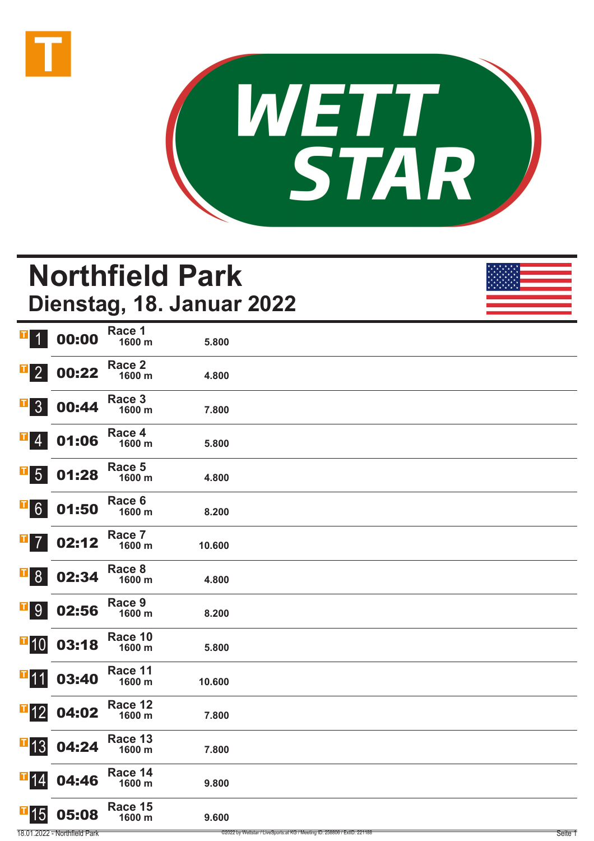



# **Northfield Park Dienstag, 18. Januar 2022**

| $\mathbf{T}$<br>$\overline{1}$    | 00:00 | Race 1<br>1600 m  | 5.800  |  |
|-----------------------------------|-------|-------------------|--------|--|
| $\mathbf{T}$<br>$\overline{2}$    | 00:22 | Race 2<br>1600 m  | 4.800  |  |
| $\blacksquare$<br>3               | 00:44 | Race 3<br>1600 m  | 7.800  |  |
| ш<br>$\overline{4}$               | 01:06 | Race 4<br>1600 m  | 5.800  |  |
| $ \mathbf{T} $<br>$5\overline{)}$ | 01:28 | Race 5<br>1600 m  | 4.800  |  |
| П<br>$6 \overline{6}$             | 01:50 | Race 6<br>1600 m  | 8.200  |  |
| T<br>$\overline{7}$               | 02:12 | Race 7<br>1600 m  | 10.600 |  |
| T<br>8 <sup>°</sup>               | 02:34 | Race 8<br>1600 m  | 4.800  |  |
| T <br>9                           | 02:56 | Race 9<br>1600 m  | 8.200  |  |
| $\blacksquare$ 10                 | 03:18 | Race 10<br>1600 m | 5.800  |  |
| $\blacksquare$ 11                 | 03:40 | Race 11<br>1600 m | 10.600 |  |
| $\overline{\textbf{1}}$ 12        | 04:02 | Race 12<br>1600 m | 7.800  |  |
| $\blacksquare$ 13                 | 04:24 | Race 13<br>1600 m | 7.800  |  |
| $\overline{1}$ 14                 | 04:46 | Race 14<br>1600 m | 9.800  |  |
| $\blacksquare$ 15                 | 05:08 | Race 15<br>1600 m | 9.600  |  |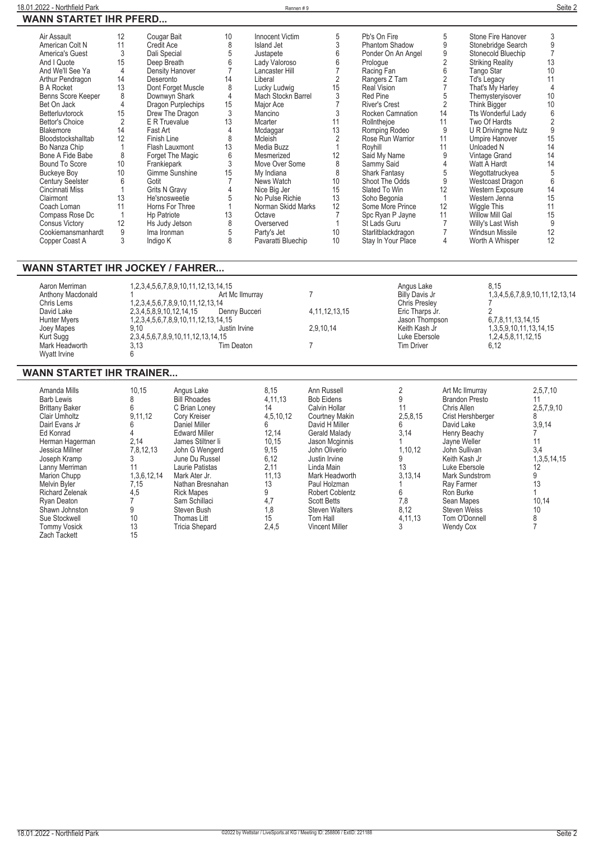| Air Assault             | 12             | Cougar Bait          | 10    | Innocent Victim    | 5  | Pb's On Fire          | 5  | Stone Fire Hanover        | 3  |
|-------------------------|----------------|----------------------|-------|--------------------|----|-----------------------|----|---------------------------|----|
| American Colt N         | 11             | Credit Ace           | 8     | Island Jet         |    | <b>Phantom Shadow</b> | 9  | Stonebridge Search        | 9  |
| America's Guest         | 3              | Dali Special         |       | Justapete          |    | Ponder On An Angel    |    | Stonecold Bluechip        |    |
| And I Quote             | 15             | Deep Breath          | 6     | Lady Valoroso      |    | Prologue              |    | <b>Striking Reality</b>   | 13 |
| And We'll See Ya        | 4              | Density Hanover      |       | Lancaster Hill     |    | Racing Fan            |    | Tango Star                | 10 |
| Arthur Pendragon        | 14             | Deseronto            | 14    | Liberal            |    | Rangers Z Tam         |    | Td's Legacy               |    |
| <b>B A Rocket</b>       | 13             | Dont Forget Muscle   | 8     | Lucky Ludwig       | 15 | <b>Real Vision</b>    |    | That's My Harley          |    |
| Benns Score Keeper      |                | Downwyn Shark        |       | Mach Stockn Barrel |    | <b>Red Pine</b>       |    | Themysteryisover          | 10 |
| Bet On Jack             |                | Dragon Purplechips   | 15    | Major Ace          |    | <b>River's Crest</b>  |    | Think Bigger              | 10 |
| <b>Betterluvtorock</b>  | 15             | Drew The Dragon      | 3     | Mancino            |    | Rocken Camnation      | 14 | <b>Tts Wonderful Lady</b> | 6  |
| Bettor's Choice         | $\overline{2}$ | E R Truevalue        | 13    | <b>Mcarter</b>     | 11 | Rollnthejoe           | 11 | Two Of Hardts             |    |
| Blakemore               | 14             | Fast Art             |       | Mcdaggar           | 13 | Romping Rodeo         | 9  | U R Drivingme Nutz        | 9  |
| Bloodstockshalltab      | 12             | Finish Line          | 8     | Mcleish            |    | Rose Run Warrior      | 11 | Umpire Hanover            | 15 |
| Bo Nanza Chip           |                | Flash Lauxmont       | 13    | Media Buzz         |    | Royhill               | 11 | Unloaded N                | 14 |
| Bone A Fide Babe        | 8              | Forget The Magic     | $6\,$ | Mesmerized         | 12 | Said My Name          | 9  | Vintage Grand             | 14 |
| Bound To Score          | 10             | Frankiepark          | 3     | Move Over Some     | 8  | Sammy Said            |    | Watt A Hardt              | 14 |
| <b>Buckeye Boy</b>      | 10             | Gimme Sunshine       | 15    | My Indiana         | 8  | <b>Shark Fantasy</b>  |    | Wegottatruckyea           | 5  |
| <b>Century Seelster</b> | 6              | Gotit                |       | News Watch         | 10 | Shoot The Odds        | 9  | Westcoast Dragon          | 6  |
| Cincinnati Miss         |                | <b>Grits N Gravy</b> |       | Nice Big Jer       | 15 | Slated To Win         | 12 | Western Exposure          | 14 |
| Clairmont               | 13             | He'snosweetie        |       | No Pulse Richie    | 13 | Soho Begonia          |    | Western Jenna             | 15 |
| Coach Loman             | 11             | Horns For Three      |       | Norman Skidd Marks | 12 | Some More Prince      | 12 | Wiggle This               | 11 |
| Compass Rose Dc         |                | Hp Patriote          | 13    | Octave             |    | Spc Ryan P Jayne      | 11 | Willow Mill Gal           | 15 |
| <b>Consus Victory</b>   | 12             | Hs Judy Jetson       |       | Overserved         |    | St Lads Guru          |    | Willy's Last Wish         | 9  |
| Cookiemansmanhardt      | 9              | Ima Ironman          |       | Party's Jet        | 10 | Starlitblackdragon    |    | Windsun Missile           | 12 |
| Copper Coast A          |                | Indigo K             | 8     | Pavaratti Bluechip | 10 | Stay In Your Place    |    | Worth A Whisper           | 12 |
|                         |                |                      |       |                    |    |                       |    |                           |    |

### **WANN STARTET IHR JOCKEY / FAHRER...**

| Aaron Merriman    | 1,2,3,4,5,6,7,8,9,10,11,12,13,14,15               |                   |                   | Angus Lake            | 8.15                           |
|-------------------|---------------------------------------------------|-------------------|-------------------|-----------------------|--------------------------------|
| Anthony Macdonald |                                                   | Art Mc Ilmurray   |                   | <b>Billy Davis Jr</b> | 1,3,4,5,6,7,8,9,10,11,12,13,14 |
| Chris Lems        | 1,2,3,4,5,6,7,8,9,10,11,12,13,14                  |                   |                   | <b>Chris Preslev</b>  |                                |
| David Lake        | 2, 3, 4, 5, 8, 9, 10, 12, 14, 15                  | Denny Bucceri     | 4, 11, 12, 13, 15 | Eric Tharps Jr.       |                                |
| Hunter Myers      | 1, 2, 3, 4, 5, 6, 7, 8, 9, 10, 11, 12, 13, 14, 15 |                   |                   | Jason Thompson        | 6,7,8,11,13,14,15              |
| Joey Mapes        | 9.10                                              | Justin Irvine     | 2,9,10,14         | Keith Kash Jr         | 1, 3, 5, 9, 10, 11, 13, 14, 15 |
| Kurt Sugg         | 2, 3, 4, 5, 6, 7, 8, 9, 10, 11, 12, 13, 14, 15    |                   |                   | Luke Ebersole         | 1,2,4,5,8,11,12,15             |
| Mark Headworth    | 3.13                                              | <b>Tim Deaton</b> |                   | <b>Tim Driver</b>     | 6.12                           |
| Wyatt Irvine      |                                                   |                   |                   |                       |                                |

#### **WANN STARTET IHR TRAINER...**

| Amanda Mills           | 10.15       | Angus Lake            | 8.15      | Ann Russell            |          | Art Mc Ilmurray       | 2,5,7,10        |
|------------------------|-------------|-----------------------|-----------|------------------------|----------|-----------------------|-----------------|
| <b>Barb Lewis</b>      |             | <b>Bill Rhoades</b>   | 4,11,13   | <b>Bob Eidens</b>      |          | <b>Brandon Presto</b> |                 |
| <b>Brittany Baker</b>  |             | C Brian Loney         | 14        | Calvin Hollar          |          | Chris Allen           | 2,5,7,9,10      |
| Clair Umholtz          | 9,11,12     | Cory Kreiser          | 4.5.10.12 | <b>Courtney Makin</b>  | 2,5,8,15 | Crist Hershberger     |                 |
| Dairl Evans Jr         |             | Daniel Miller         |           | David H Miller         |          | David Lake            | 3,9,14          |
| Ed Konrad              |             | <b>Edward Miller</b>  | 12.14     | Gerald Maladv          | 3,14     | Henry Beachy          |                 |
| Herman Hagerman        | 2,14        | James Stiltner li     | 10,15     | Jason Mcginnis         |          | Jayne Weller          | 11              |
| Jessica Millner        | 7.8.12.13   | John G Wengerd        | 9,15      | John Oliverio          | 1.10.12  | John Sullivan         | 3,4             |
| Joseph Kramp           |             | June Du Russel        | 6.12      | Justin Irvine          |          | Keith Kash Jr         | 1, 3, 5, 14, 15 |
| Lanny Merriman         | 11          | Laurie Patistas       | 2.11      | Linda Main             | 13       | Luke Ebersole         | 12              |
| Marion Chupp           | 1,3,6,12,14 | Mark Ater Jr.         | 11.13     | Mark Headworth         | 3,13,14  | Mark Sundstrom        | 9               |
| Melvin Byler           | 7,15        | Nathan Bresnahan      | 13        | Paul Holzman           |          | Ray Farmer            | 13              |
| <b>Richard Zelenak</b> | 4,5         | <b>Rick Mapes</b>     | 9         | <b>Robert Coblentz</b> |          | Ron Burke             |                 |
| Ryan Deaton            |             | Sam Schillaci         | 4,7       | <b>Scott Betts</b>     | 7,8      | Sean Mapes            | 10,14           |
| Shawn Johnston         |             | Steven Bush           | 1,8       | <b>Steven Walters</b>  | 8,12     | <b>Steven Weiss</b>   | 10              |
| Sue Stockwell          | 10          | Thomas Litt           | 15        | Tom Hall               | 4,11,13  | Tom O'Donnell         |                 |
| <b>Tommy Vosick</b>    | 13          | <b>Tricia Shepard</b> | 2,4,5     | <b>Vincent Miller</b>  |          | <b>Wendy Cox</b>      |                 |
| Zach Tackett           | 15          |                       |           |                        |          |                       |                 |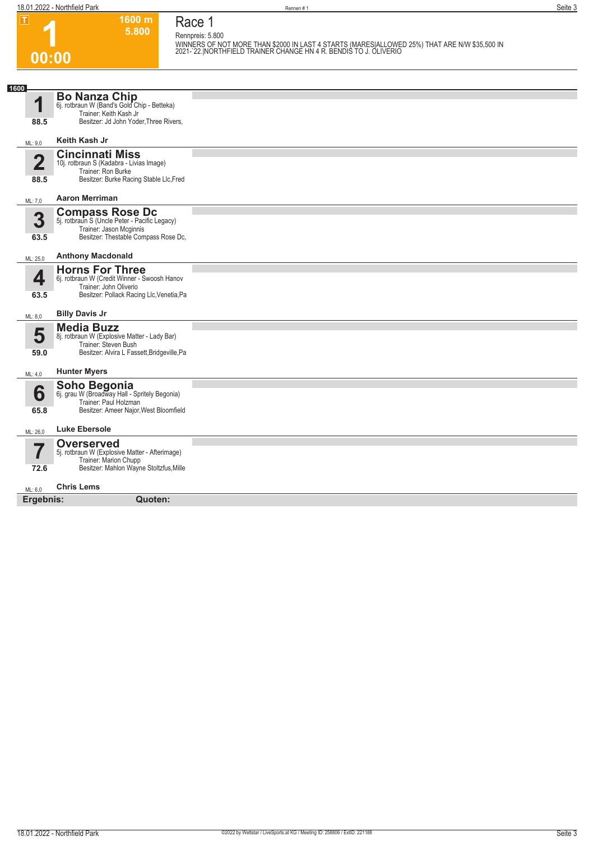**1600 m**

| IΤI                     | 1600 m<br>5.800                                                         | Race 1                                                                                                                                                                                 |
|-------------------------|-------------------------------------------------------------------------|----------------------------------------------------------------------------------------------------------------------------------------------------------------------------------------|
|                         |                                                                         | Rennpreis: 5.800<br>WINNERS OF NOT MORE THAN \$2000 IN LAST 4 STARTS (MARESIALLOWED 25%) THAT ARE N/W \$35,500 IN<br>2021-`22. NORTHFIELD TRAINER CHANGE HN 4 R. BENDIS TO J. OLIVERIO |
| 00:00                   |                                                                         |                                                                                                                                                                                        |
|                         |                                                                         |                                                                                                                                                                                        |
| 1600                    |                                                                         |                                                                                                                                                                                        |
| 1                       | <b>Bo Nanza Chip</b><br>6j. rotbraun W (Band's Gold Chip - Betteka)     |                                                                                                                                                                                        |
| 88.5                    | Trainer: Keith Kash Jr<br>Besitzer: Jd John Yoder, Three Rivers,        |                                                                                                                                                                                        |
|                         |                                                                         |                                                                                                                                                                                        |
| ML: 9,0                 | Keith Kash Jr                                                           |                                                                                                                                                                                        |
| $\overline{\mathbf{2}}$ | <b>Cincinnati Miss</b><br>10j. rotbraun S (Kadabra - Livias Image)      |                                                                                                                                                                                        |
|                         | Trainer: Ron Burke<br>Besitzer: Burke Racing Stable Llc, Fred           |                                                                                                                                                                                        |
| 88.5                    |                                                                         |                                                                                                                                                                                        |
| ML: 7,0                 | <b>Aaron Merriman</b>                                                   |                                                                                                                                                                                        |
| 3                       | <b>Compass Rose Dc</b><br>5j. rotbraun S (Uncle Peter - Pacific Legacy) |                                                                                                                                                                                        |
|                         | Trainer: Jason Mcginnis<br>Besitzer: Thestable Compass Rose Dc,         |                                                                                                                                                                                        |
| 63.5                    |                                                                         |                                                                                                                                                                                        |
| ML: 25,0                | <b>Anthony Macdonald</b>                                                |                                                                                                                                                                                        |
| 4                       | <b>Horns For Three</b><br>6j. rotbraun W (Credit Winner - Swoosh Hanov  |                                                                                                                                                                                        |
| 63.5                    | Trainer: John Oliverio<br>Besitzer: Pollack Racing Llc, Venetia, Pa     |                                                                                                                                                                                        |
|                         |                                                                         |                                                                                                                                                                                        |
| ML: 8,0                 | <b>Billy Davis Jr</b>                                                   |                                                                                                                                                                                        |
| 5                       | <b>Media Buzz</b><br>8j. rotbraun W (Explosive Matter - Lady Bar)       |                                                                                                                                                                                        |
| 59.0                    | Trainer: Steven Bush<br>Besitzer: Alvira L Fassett, Bridgeville, Pa     |                                                                                                                                                                                        |
|                         |                                                                         |                                                                                                                                                                                        |
| ML: 4,0                 | <b>Hunter Myers</b>                                                     |                                                                                                                                                                                        |
| 6                       | Soho Begonia<br>6j. grau W (Broadway Hall - Spritely Begonia)           |                                                                                                                                                                                        |
| 65.8                    | Trainer: Paul Holzman<br>Besitzer: Ameer Najor, West Bloomfield         |                                                                                                                                                                                        |
|                         |                                                                         |                                                                                                                                                                                        |
| ML: 26,0                | <b>Luke Ebersole</b>                                                    |                                                                                                                                                                                        |
|                         | <b>Overserved</b><br>5j. rotbraun W (Explosive Matter - Afterimage)     |                                                                                                                                                                                        |
| 72.6                    | Trainer: Marion Chupp<br>Besitzer: Mahlon Wayne Stoltzfus, Mille        |                                                                                                                                                                                        |
|                         |                                                                         |                                                                                                                                                                                        |
| ML: 6,0                 | <b>Chris Lems</b>                                                       |                                                                                                                                                                                        |
| Ergebnis:               | Quoten:                                                                 |                                                                                                                                                                                        |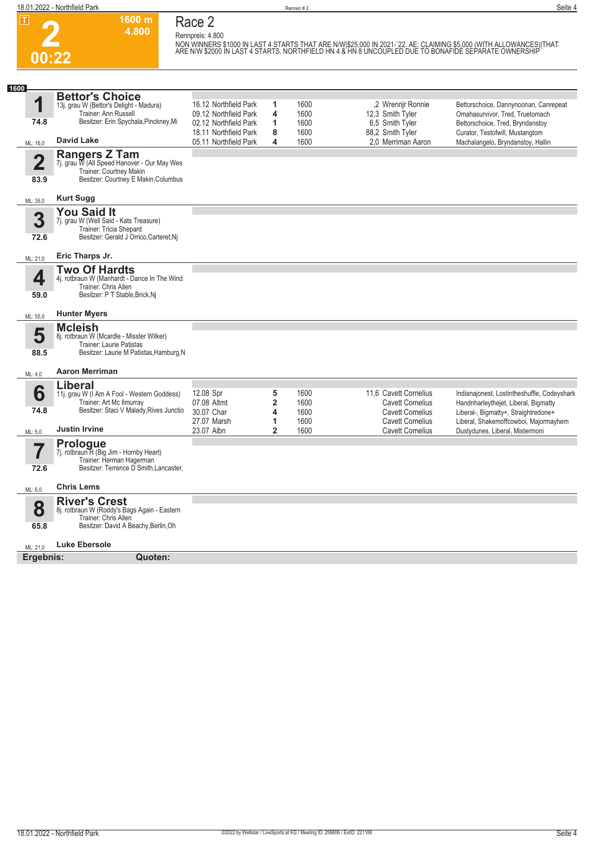**00:22**



**1600 m 4.800 Race 2 Rennpreis: 4.800**

NON WINNERS \$1000 IN LAST 4 STARTS THAT ARE N/W|\$25,000 IN 2021-`22. AE: CLAIMING \$5,000 (WITH ALLOWANCES)|THAT<br>ARE N/W \$2000 IN LAST 4 STARTS. NORTHFIELD HN 4 & HN 8 UNCOUPLED DUE TO BONAFIDE SEPARATE OWNERSHIP

| 1600                            |                                                                                                                                                                                 |                                                                                                                           |                                        |                                      |                                                                                                        |                                                                                                                                                                                      |
|---------------------------------|---------------------------------------------------------------------------------------------------------------------------------------------------------------------------------|---------------------------------------------------------------------------------------------------------------------------|----------------------------------------|--------------------------------------|--------------------------------------------------------------------------------------------------------|--------------------------------------------------------------------------------------------------------------------------------------------------------------------------------------|
| 1<br>74.8<br>ML: 16,0           | <b>Bettor's Choice</b><br>13j. grau W (Bettor's Delight - Madura)<br>Trainer: Ann Russell<br>Besitzer: Erin Spychala, Pinckney, Mi<br><b>David Lake</b><br><b>Rangers Z Tam</b> | 16.12 Northfield Park<br>09.12 Northfield Park<br>02.12 Northfield Park<br>18.11 Northfield Park<br>05.11 Northfield Park | 1<br>4<br>1<br>8<br>4                  | 1600<br>1600<br>1600<br>1600<br>1600 | .2 Wrennir Ronnie<br>12,3 Smith Tyler<br>6.5 Smith Tyler<br>88,2 Smith Tyler<br>2.0 Merriman Aaron     | Bettorschoice, Dannynoonan, Canrepeat<br>Omahasurvivor, Tred, Truetomach<br>Bettorschoice, Tred, Bryndanstoy<br>Curator, Testofwill, Mustangtom<br>Machalangelo, Bryndanstoy, Hallin |
| $\overline{\mathbf{2}}$<br>83.9 | 7j. grau W (All Speed Hanover - Our May Wes<br>Trainer: Courtney Makin<br>Besitzer: Courtney E Makin, Columbus                                                                  |                                                                                                                           |                                        |                                      |                                                                                                        |                                                                                                                                                                                      |
| ML: 35,0                        | <b>Kurt Sugg</b>                                                                                                                                                                |                                                                                                                           |                                        |                                      |                                                                                                        |                                                                                                                                                                                      |
| 3<br>72.6                       | <b>You Said It</b><br>7j. grau W (Well Said - Kats Treasure)<br>Trainer: Tricia Shepard<br>Besitzer: Gerald J Orrico, Carteret, Nj                                              |                                                                                                                           |                                        |                                      |                                                                                                        |                                                                                                                                                                                      |
| ML: 21,0                        | Eric Tharps Jr.                                                                                                                                                                 |                                                                                                                           |                                        |                                      |                                                                                                        |                                                                                                                                                                                      |
| 4<br>59.0                       | <b>Two Of Hardts</b><br>4j. rotbraun W (Manhardt - Dance In The Wind<br>Trainer: Chris Allen<br>Besitzer: P T Stable, Brick, Nj                                                 |                                                                                                                           |                                        |                                      |                                                                                                        |                                                                                                                                                                                      |
| ML: 55,0                        | <b>Hunter Myers</b>                                                                                                                                                             |                                                                                                                           |                                        |                                      |                                                                                                        |                                                                                                                                                                                      |
| 5<br>88.5<br>ML: 4,0            | <b>Mcleish</b><br>8j. rotbraun W (Mcardle - Misster Wilker)<br>Trainer: Laurie Patistas<br>Besitzer: Laurie M Patistas, Hamburg, N<br><b>Aaron Merriman</b>                     |                                                                                                                           |                                        |                                      |                                                                                                        |                                                                                                                                                                                      |
|                                 |                                                                                                                                                                                 |                                                                                                                           |                                        |                                      |                                                                                                        |                                                                                                                                                                                      |
| 6<br>74.8                       | <b>Liberal</b><br>11j. grau W (I Am A Fool - Western Goddess)<br>Trainer: Art Mc Ilmurray<br>Besitzer: Staci V Malady, Rives Junctio                                            | 12.08 Spr<br>07.08 Altmt<br>30.07 Char<br>27.07 Marsh                                                                     | 5<br>$\overline{\mathbf{2}}$<br>4<br>1 | 1600<br>1600<br>1600<br>1600         | 11,6 Cavett Cornelius<br><b>Cavett Cornelius</b><br><b>Cavett Cornelius</b><br><b>Cavett Cornelius</b> | Indianajonest, Lostintheshuffle, Codeyshark<br>Handnharleythejet, Liberal, Bigmatty<br>Liberal-, Bigmatty+, Straightredone+<br>Liberal, Shakemoffcowboi, Majormayhem                 |
| ML: 5,0                         | <b>Justin Irvine</b>                                                                                                                                                            | 23.07 Albn                                                                                                                | $\overline{2}$                         | 1600                                 | <b>Cavett Cornelius</b>                                                                                | Dustydunes, Liberal, Mistermoni                                                                                                                                                      |
| 7<br>72.6                       | <b>Prologue</b><br>7j. rotbraun H (Big Jim - Hornby Heart)<br>Trainer: Herman Hagerman<br>Besitzer: Terrence D Smith, Lancaster,                                                |                                                                                                                           |                                        |                                      |                                                                                                        |                                                                                                                                                                                      |
| ML: 6,0                         | <b>Chris Lems</b>                                                                                                                                                               |                                                                                                                           |                                        |                                      |                                                                                                        |                                                                                                                                                                                      |
| 8<br>65.8                       | <b>River's Crest</b><br>8j. rotbraun W (Roddy's Bags Again - Eastern<br>Trainer: Chris Allen<br>Besitzer: David A Beachy, Berlin, Oh<br><b>Luke Ebersole</b>                    |                                                                                                                           |                                        |                                      |                                                                                                        |                                                                                                                                                                                      |
| ML: 21.0                        |                                                                                                                                                                                 |                                                                                                                           |                                        |                                      |                                                                                                        |                                                                                                                                                                                      |
| Ergebnis:                       | Quoten:                                                                                                                                                                         |                                                                                                                           |                                        |                                      |                                                                                                        |                                                                                                                                                                                      |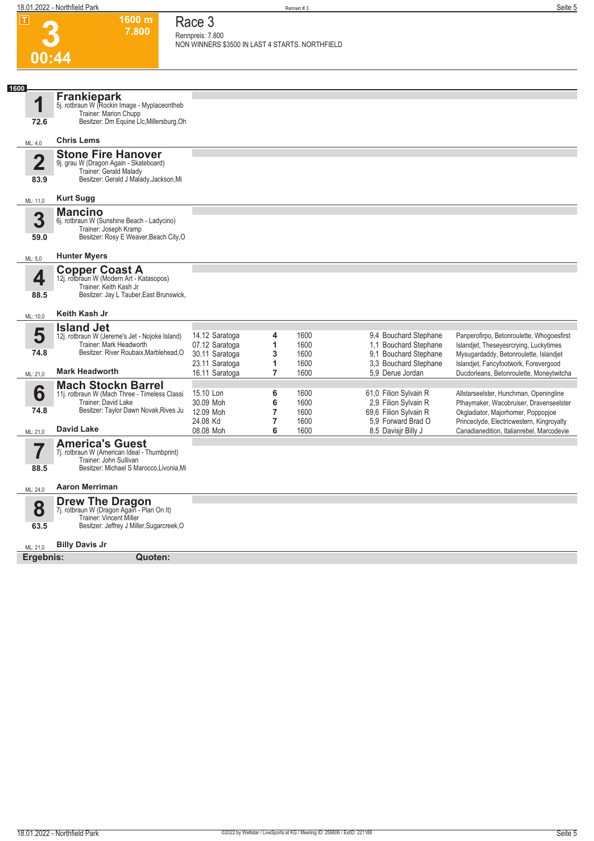**1600 m 7.800**  **Race 3 Rennpreis: 7.800**

| <b>The Contract of the Contract of the Contract</b> | ווו טטט<br>7.800                                                                                                                                                  | Race o<br>Rennpreis: 7.800<br>NON WINNERS \$3500 IN LAST 4 STARTS. NORTHFIELD |                                        |                              |                                                                                                  |                                                                                                                                                                        |
|-----------------------------------------------------|-------------------------------------------------------------------------------------------------------------------------------------------------------------------|-------------------------------------------------------------------------------|----------------------------------------|------------------------------|--------------------------------------------------------------------------------------------------|------------------------------------------------------------------------------------------------------------------------------------------------------------------------|
| 00:44                                               |                                                                                                                                                                   |                                                                               |                                        |                              |                                                                                                  |                                                                                                                                                                        |
|                                                     |                                                                                                                                                                   |                                                                               |                                        |                              |                                                                                                  |                                                                                                                                                                        |
| 1600<br>1<br>72.6                                   | Frankiepark<br>5j. rotbraun W (Rockin Image - Myplaceontheb<br>Trainer: Marion Chupp<br>Besitzer: Dm Equine Llc, Millersburg, Oh                                  |                                                                               |                                        |                              |                                                                                                  |                                                                                                                                                                        |
| ML: 4,0                                             | <b>Chris Lems</b>                                                                                                                                                 |                                                                               |                                        |                              |                                                                                                  |                                                                                                                                                                        |
| $\overline{\mathbf{2}}$<br>83.9                     | <b>Stone Fire Hanover</b><br>9j. grau W (Dragon Again - Skateboard)<br>Trainer: Gerald Malady<br>Besitzer: Gerald J Malady, Jackson, Mi                           |                                                                               |                                        |                              |                                                                                                  |                                                                                                                                                                        |
| ML: 11,0                                            | <b>Kurt Sugg</b>                                                                                                                                                  |                                                                               |                                        |                              |                                                                                                  |                                                                                                                                                                        |
| 3<br>59.0                                           | <b>Mancino</b><br>6j. rotbraun W (Sunshine Beach - Ladycino)<br>Trainer: Joseph Kramp<br>Besitzer: Rosy E Weaver, Beach City, O                                   |                                                                               |                                        |                              |                                                                                                  |                                                                                                                                                                        |
| ML: 5,0                                             | <b>Hunter Myers</b>                                                                                                                                               |                                                                               |                                        |                              |                                                                                                  |                                                                                                                                                                        |
| 4<br>88.5                                           | <b>Copper Coast A</b><br>12j. rotbraun W (Modern Art - Katasopos)<br>Trainer: Keith Kash Jr<br>Besitzer: Jay L Tauber, East Brunswick,                            |                                                                               |                                        |                              |                                                                                                  |                                                                                                                                                                        |
| ML: 10,0                                            | Keith Kash Jr                                                                                                                                                     |                                                                               |                                        |                              |                                                                                                  |                                                                                                                                                                        |
| 5<br>74.8                                           | <b>Island Jet</b><br>12j. rotbraun W (Jereme's Jet - Nojoke Island)<br>Trainer: Mark Headworth<br>Besitzer: River Roubaix, Marblehead, O<br><b>Mark Headworth</b> | 14.12 Saratoga<br>07.12 Saratoga<br>30.11 Saratoga<br>23.11 Saratoga          | 4<br>1<br>3<br>1                       | 1600<br>1600<br>1600<br>1600 | 9,4 Bouchard Stephane<br>1,1 Bouchard Stephane<br>9,1 Bouchard Stephane<br>3.3 Bouchard Stephane | Panperofirpo, Betonroulette, Whogoesfirst<br>Islandjet, Theseyesrcrying, Luckytimes<br>Mysugardaddy, Betonroulette, Islandjet<br>Islandjet, Fancyfootwork, Forevergood |
| ML: 21,0                                            |                                                                                                                                                                   | 16.11 Saratoga                                                                | $\overline{7}$                         | 1600                         | 5.9 Derue Jordan                                                                                 | Ducdorleans, Betonroulette, Moneytwitcha                                                                                                                               |
| 6<br>74.8                                           | <b>Mach Stockn Barrel</b><br>11j. rotbraun W (Mach Three - Timeless Classi<br>Trainer: David Lake<br>Besitzer: Taylor Dawn Novak, Rives Ju                        | 15.10 Lon<br>30.09 Moh<br>12.09 Moh<br>24.08 Kd                               | 6<br>6<br>7<br>$\overline{\mathbf{r}}$ | 1600<br>1600<br>1600<br>1600 | 61,0 Filion Sylvain R<br>2,9 Filion Sylvain R<br>69,6 Filion Sylvain R<br>5,9 Forward Brad O     | Allstarseelster, Hunchman, Openingline<br>Plhaymaker, Wacobruiser, Dravenseelster<br>Okgladiator, Majorhomer, Poppopjoe<br>Princeclyde, Electricwestern, Kingroyalty   |
| ML: 21,0                                            | <b>David Lake</b>                                                                                                                                                 | 08.08 Moh                                                                     | 6                                      | 1600                         | 8,5 Davisjr Billy J                                                                              | Canadianedition, Italianrebel, Marcodevie                                                                                                                              |
| 88.5                                                | <b>America's Guest</b><br>7j. rotbraun W (American Ideal - Thumbprint)<br>Trainer: John Sullivan<br>Besitzer: Michael S Marocco, Livonia, Mi                      |                                                                               |                                        |                              |                                                                                                  |                                                                                                                                                                        |
| ML: 24,0                                            | <b>Aaron Merriman</b>                                                                                                                                             |                                                                               |                                        |                              |                                                                                                  |                                                                                                                                                                        |
| 8<br>63.5                                           | <b>Drew The Dragon</b><br>7j. rotbraun W (Dragon Again - Plan On It)<br>Trainer: Vincent Miller<br>Besitzer: Jeffrey J Miller, Sugarcreek, O                      |                                                                               |                                        |                              |                                                                                                  |                                                                                                                                                                        |
|                                                     |                                                                                                                                                                   |                                                                               |                                        |                              |                                                                                                  |                                                                                                                                                                        |
| ML: 21,0                                            | <b>Billy Davis Jr</b>                                                                                                                                             |                                                                               |                                        |                              |                                                                                                  |                                                                                                                                                                        |
| Ergebnis:                                           | Quoten:                                                                                                                                                           |                                                                               |                                        |                              |                                                                                                  |                                                                                                                                                                        |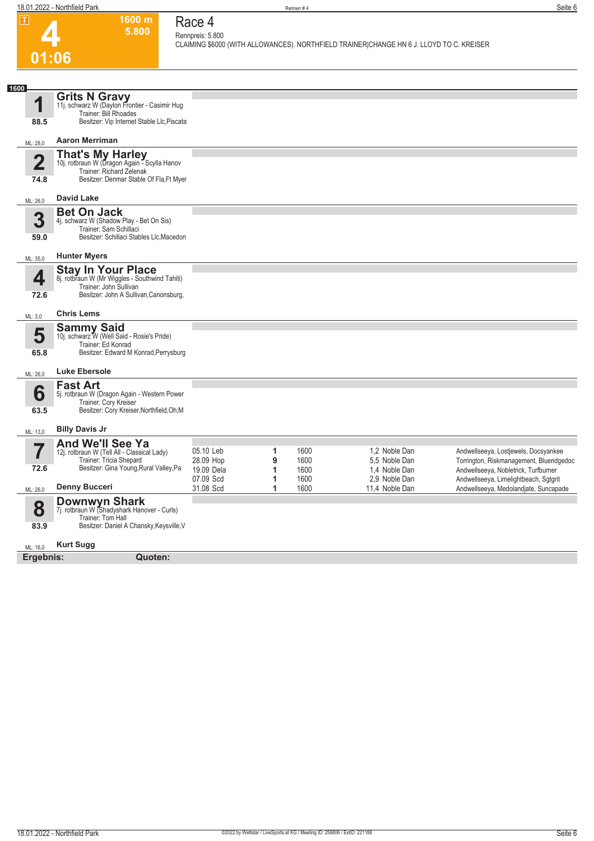**1600 m 5.800**  **Race 4 Rennpreis: 5.800**

**CLAIMING \$6000 (WITH ALLOWANCES). NORTHFIELD TRAINER|CHANGE HN 6 J. LLOYD TO C. KREISER** 

## **4 01:06**

| 1600<br>1               | <b>Grits N Gravy</b><br>11j. schwarz W (Daylon Frontier - Casimir Hug<br>Trainer: Bill Rhoades                                        |                                      |             |                      |                                                 |                                                                                                                           |
|-------------------------|---------------------------------------------------------------------------------------------------------------------------------------|--------------------------------------|-------------|----------------------|-------------------------------------------------|---------------------------------------------------------------------------------------------------------------------------|
| 88.5                    | Besitzer: Vip Internet Stable Llc, Piscata                                                                                            |                                      |             |                      |                                                 |                                                                                                                           |
| ML: 28.0                | <b>Aaron Merriman</b>                                                                                                                 |                                      |             |                      |                                                 |                                                                                                                           |
| $\overline{\mathbf{2}}$ | <b>That's My Harley</b><br>10j. rotbraun W (Dragon Again - Scylla Hanov<br>Trainer: Richard Zelenak                                   |                                      |             |                      |                                                 |                                                                                                                           |
| 74.8                    | Besitzer: Denmar Stable Of Fla, Ft Myer                                                                                               |                                      |             |                      |                                                 |                                                                                                                           |
| ML: 26,0                | <b>David Lake</b>                                                                                                                     |                                      |             |                      |                                                 |                                                                                                                           |
| 3                       | <b>Bet On Jack</b><br>4j. schwarz W (Shadow Play - Bet On Sis)<br>Trainer: Sam Schillaci                                              |                                      |             |                      |                                                 |                                                                                                                           |
| 59.0                    | Besitzer: Schillaci Stables Llc, Macedon                                                                                              |                                      |             |                      |                                                 |                                                                                                                           |
| ML: 35,0                | <b>Hunter Myers</b>                                                                                                                   |                                      |             |                      |                                                 |                                                                                                                           |
| 4                       | <b>Stay In Your Place</b><br>8j. rotbraun W (Mr Wiggles - Southwind Tahiti)<br>Trainer: John Sullivan                                 |                                      |             |                      |                                                 |                                                                                                                           |
| 72.6                    | Besitzer: John A Sullivan, Canonsburg,                                                                                                |                                      |             |                      |                                                 |                                                                                                                           |
| ML: 3,0                 | <b>Chris Lems</b>                                                                                                                     |                                      |             |                      |                                                 |                                                                                                                           |
| 5                       | <b>Sammy Said</b><br>10j. schwarz W (Well Said - Rosie's Pride)<br>Trainer: Ed Konrad                                                 |                                      |             |                      |                                                 |                                                                                                                           |
| 65.8                    | Besitzer: Edward M Konrad, Perrysburg                                                                                                 |                                      |             |                      |                                                 |                                                                                                                           |
| ML: 26,0                | <b>Luke Ebersole</b>                                                                                                                  |                                      |             |                      |                                                 |                                                                                                                           |
| 6<br>63.5               | <b>Fast Art</b><br>5j. rotbraun W (Dragon Again - Western Power<br>Trainer: Cory Kreiser<br>Besitzer: Cory Kreiser, Northfield, Oh; M |                                      |             |                      |                                                 |                                                                                                                           |
| ML: 13,0                | <b>Billy Davis Jr</b>                                                                                                                 |                                      |             |                      |                                                 |                                                                                                                           |
| $\overline{\mathbf{Z}}$ | <b>And We'll See Ya</b><br>12j. rotbraun W (Tell All - Classical Lady)                                                                | 05.10 Leb                            | 1           | 1600                 | 1.2 Noble Dan                                   | Andwellseeya, Lostjewels, Docsyankee                                                                                      |
| 72.6                    | Trainer: Tricia Shepard<br>Besitzer: Gina Young, Rural Valley, Pa                                                                     | 28.09 Hop<br>19.09 Dela<br>07.09 Scd | 9<br>1<br>1 | 1600<br>1600<br>1600 | 5.5 Noble Dan<br>1.4 Noble Dan<br>2.9 Noble Dan | Torrington, Riskmanagement, Blueridgedoc<br>Andwellseeya, Nobletrick, Turfburner<br>Andwellseeya, Limelightbeach, Sqtgrit |
| ML: 26,0                | <b>Denny Bucceri</b>                                                                                                                  | 31.08 Scd                            | 1           | 1600                 | 11.4 Noble Dan                                  | Andwellseeya, Medolandjate, Suncapade                                                                                     |
| 8                       | <b>Downwyn Shark</b><br>7j. rotbraun W (Shadyshark Hanover - Curls)<br>Trainer: Tom Hall                                              |                                      |             |                      |                                                 |                                                                                                                           |
| 83.9                    | Besitzer: Daniel A Chansky, Keysville, V                                                                                              |                                      |             |                      |                                                 |                                                                                                                           |
| ML: 16,0                | <b>Kurt Sugg</b>                                                                                                                      |                                      |             |                      |                                                 |                                                                                                                           |
| Ergebnis:               | Quoten:                                                                                                                               |                                      |             |                      |                                                 |                                                                                                                           |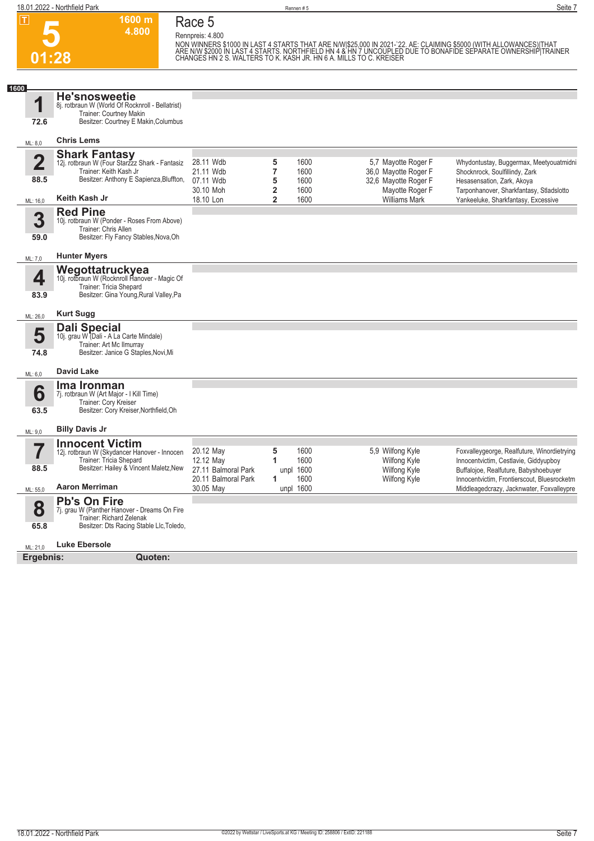

## **Race 5**

**1600 m 4.800** 

**Rennpreis: 4.800**

NON WINNERS \$1000 IN LAST 4 STARTS THAT ARE N/W|\$25,000 IN 2021-`22. AE: CLAIMING \$5000 (WITH ALLOWANCES)|THAT<br>ARE N/W \$2000 IN LAST 4 STARTS. NORTHFIELD HN 4 & HN 7 UNCOUPLED DUE TO BONAFIDE SEPARATE OWNERSHIP|TRAINER<br>CH

| 1600         |                                                                                                                                             |                                  |                              |                   |                                             |                                                                                          |
|--------------|---------------------------------------------------------------------------------------------------------------------------------------------|----------------------------------|------------------------------|-------------------|---------------------------------------------|------------------------------------------------------------------------------------------|
| 1<br>72.6    | <b>He'snosweetie</b><br>8j. rotbraun W (World Of Rocknroll - Bellatrist)<br>Trainer: Courtney Makin<br>Besitzer: Courtney E Makin, Columbus |                                  |                              |                   |                                             |                                                                                          |
|              |                                                                                                                                             |                                  |                              |                   |                                             |                                                                                          |
| ML: 8,0      | <b>Chris Lems</b>                                                                                                                           |                                  |                              |                   |                                             |                                                                                          |
| $\mathbf{2}$ | <b>Shark Fantasy</b><br>12j. rotbraun W (Four Starzzz Shark - Fantasiz<br>Trainer: Keith Kash Jr                                            | 28.11 Wdb<br>21.11 Wdb           | 5<br>$\overline{7}$          | 1600<br>1600      | 5,7 Mayotte Roger F<br>36,0 Mayotte Roger F | Whydontustay, Buggermax, Meetyouatmidni<br>Shocknrock, Soulfillindy, Zark                |
| 88.5         | Besitzer: Anthony E Sapienza, Bluffton,                                                                                                     | 07.11 Wdb<br>30.10 Moh           | 5<br>$\overline{\mathbf{2}}$ | 1600<br>1600      | 32,6 Mayotte Roger F<br>Mayotte Roger F     | Hesasensation, Zark, Akoya<br>Tarponhanover, Sharkfantasy, Stladslotto                   |
| ML: 16,0     | Keith Kash Jr                                                                                                                               | 18.10 Lon                        | $\overline{2}$               | 1600              | <b>Williams Mark</b>                        | Yankeeluke, Sharkfantasy, Excessive                                                      |
| 3<br>59.0    | <b>Red Pine</b><br>10j. rotbraun W (Ponder - Roses From Above)<br>Trainer: Chris Allen<br>Besitzer: Fly Fancy Stables, Nova, Oh             |                                  |                              |                   |                                             |                                                                                          |
| ML: 7.0      | <b>Hunter Myers</b>                                                                                                                         |                                  |                              |                   |                                             |                                                                                          |
| 4            | Wegottatruckyea<br>10j. rotbraun W (Rocknroll Hanover - Magic Of                                                                            |                                  |                              |                   |                                             |                                                                                          |
| 83.9         | Trainer: Tricia Shepard<br>Besitzer: Gina Young, Rural Valley, Pa                                                                           |                                  |                              |                   |                                             |                                                                                          |
| ML: 26,0     | <b>Kurt Sugg</b>                                                                                                                            |                                  |                              |                   |                                             |                                                                                          |
|              | <b>Dali Special</b>                                                                                                                         |                                  |                              |                   |                                             |                                                                                          |
| 5            | 10j. grau W (Dali - A La Carte Mindale)<br>Trainer: Art Mc Ilmurray                                                                         |                                  |                              |                   |                                             |                                                                                          |
| 74.8         | Besitzer: Janice G Staples, Novi, Mi                                                                                                        |                                  |                              |                   |                                             |                                                                                          |
| ML: 6,0      | <b>David Lake</b>                                                                                                                           |                                  |                              |                   |                                             |                                                                                          |
|              | Ima Ironman                                                                                                                                 |                                  |                              |                   |                                             |                                                                                          |
| 6            | 7j. rotbraun W (Art Major - I Kill Time)<br>Trainer: Cory Kreiser                                                                           |                                  |                              |                   |                                             |                                                                                          |
| 63.5         | Besitzer: Cory Kreiser, Northfield, Oh                                                                                                      |                                  |                              |                   |                                             |                                                                                          |
| ML: 9,0      | <b>Billy Davis Jr</b>                                                                                                                       |                                  |                              |                   |                                             |                                                                                          |
|              | <b>Innocent Victim</b>                                                                                                                      |                                  |                              |                   |                                             |                                                                                          |
| 7            | 12j. rotbraun W (Skydancer Hanover - Innocen<br>Trainer: Tricia Shepard                                                                     | 20.12 May                        | 5<br>1                       | 1600<br>1600      | 5.9 Wilfong Kyle                            | Foxvalleygeorge, Realfuture, Winordietrying                                              |
| 88.5         | Besitzer: Hailey & Vincent Maletz, New                                                                                                      | 12.12 May<br>27.11 Balmoral Park |                              | unpl 1600         | Wilfong Kyle<br><b>Wilfong Kyle</b>         | Innocentvictim, Cestlavie, Giddyupboy<br>Buffalojoe, Realfuture, Babyshoebuyer           |
| ML: 55,0     | <b>Aaron Merriman</b>                                                                                                                       | 20.11 Balmoral Park<br>30.05 May | 1                            | 1600<br>unpl 1600 | <b>Wilfong Kyle</b>                         | Innocentvictim, Frontierscout, Bluesrocketm<br>Middleagedcrazy, Jacknwater, Foxvalleypre |
|              | <b>Pb's On Fire</b>                                                                                                                         |                                  |                              |                   |                                             |                                                                                          |
| 8<br>65.8    | 7j. grau W (Panther Hanover - Dreams On Fire<br>Trainer: Richard Zelenak<br>Besitzer: Dts Racing Stable Llc, Toledo,                        |                                  |                              |                   |                                             |                                                                                          |
|              |                                                                                                                                             |                                  |                              |                   |                                             |                                                                                          |
| ML: 21,0     | Luke Ebersole                                                                                                                               |                                  |                              |                   |                                             |                                                                                          |
| Ergebnis:    | Quoten:                                                                                                                                     |                                  |                              |                   |                                             |                                                                                          |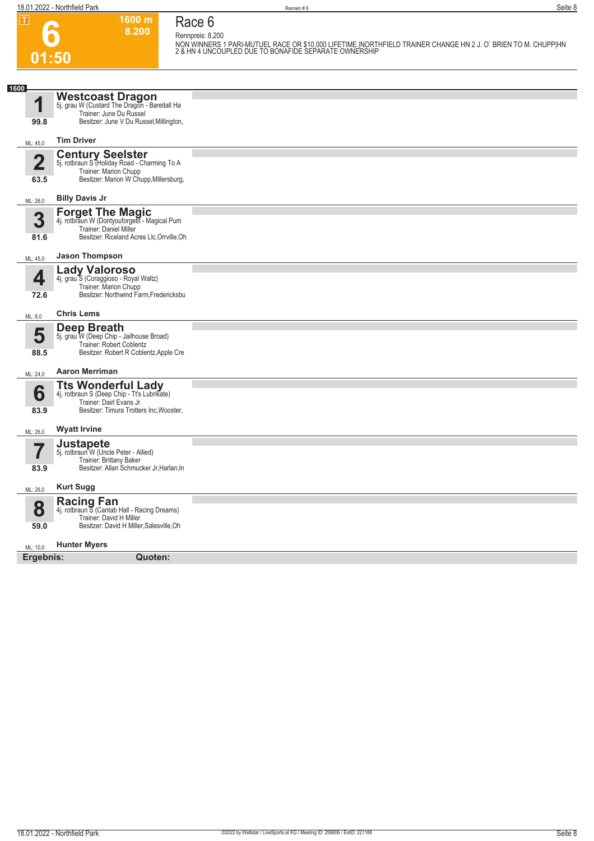**1600 m Race 6**

**8.200** 

**Rennpreis: 8.200**

| 01:50                           |                                                                                                                                                       | NON WINNERS 1 PARI-MUTUEL RACE OR \$10,000 LIFETIME.INORTHFIELD TRAINER CHANGE HN 2 J. O` BRIEN TO M. CHUPP HN<br>2 & HN 4 UNCOUPLED DUE TO BONAFIDE SEPARATE OWNERSHIP |
|---------------------------------|-------------------------------------------------------------------------------------------------------------------------------------------------------|-------------------------------------------------------------------------------------------------------------------------------------------------------------------------|
|                                 |                                                                                                                                                       |                                                                                                                                                                         |
| 1600<br>1<br>99.8               | Westcoast Dragon<br>5j. grau W (Custard The Dragon - Bareitall Ha<br>Trainer: June Du Russel<br>Besitzer: June V Du Russel, Millington,               |                                                                                                                                                                         |
| ML: 45,0                        | <b>Tim Driver</b>                                                                                                                                     |                                                                                                                                                                         |
| $\overline{\mathbf{2}}$<br>63.5 | <b>Century Seelster</b><br>5j. rotbraun S (Holiday Road - Charming To A<br>Trainer: Marion Chupp<br>Besitzer: Marion W Chupp, Millersburg,            |                                                                                                                                                                         |
| ML: 26,0                        | <b>Billy Davis Jr</b>                                                                                                                                 |                                                                                                                                                                         |
| 3<br>81.6                       | <b>Forget The Magic</b><br>4j. rotbraun W (Dontyouforgett - Magical Pum<br>Trainer: Daniel Miller<br>Besitzer: Riceland Acres Llc, Orrville, Oh       |                                                                                                                                                                         |
| ML: 45,0                        | <b>Jason Thompson</b>                                                                                                                                 |                                                                                                                                                                         |
| 4<br>72.6                       | <b>Lady Valoroso</b><br>4j. grau S (Coraggioso - Royal Waltz)<br>Trainer: Marion Chupp<br>Besitzer: Northwind Farm, Fredericksbu                      |                                                                                                                                                                         |
| ML: 8,0                         | <b>Chris Lems</b>                                                                                                                                     |                                                                                                                                                                         |
| 5<br>88.5                       | Deep Breath<br>5j. grau W (Deep Chip - Jailhouse Broad)<br>Trainer: Robert Coblentz<br>Besitzer: Robert R Coblentz, Apple Cre                         |                                                                                                                                                                         |
| ML: 24,0                        | <b>Aaron Merriman</b>                                                                                                                                 |                                                                                                                                                                         |
| 6<br>83.9                       | <b>Tts Wonderful Lady</b><br>4j. rotbraun S (Deep Chip - Tt's Lubrikate)<br>Trainer: Dairl Evans Jr<br>Besitzer: Timura Trotters Inc, Wooster,        |                                                                                                                                                                         |
| ML: 26,0                        | <b>Wyatt Irvine</b>                                                                                                                                   |                                                                                                                                                                         |
| I<br>83.9                       | Justapete<br>5j. rotbraun <sup>"</sup> W (Uncle Peter - Allied)<br>Trainer: Brittany Baker<br>Besitzer: Allan Schmucker Jr, Harlan, In                |                                                                                                                                                                         |
| ML: 26,0                        | <b>Kurt Sugg</b>                                                                                                                                      |                                                                                                                                                                         |
| 8<br>59.0                       | <b>Racing Fan</b><br>4j. rotbraun $\overline{S}$ (Cantab Hall - Racing Dreams)<br>Trainer: David H Miller<br>Besitzer: David H Miller, Salesville, Oh |                                                                                                                                                                         |
| ML: 10,0                        | <b>Hunter Myers</b>                                                                                                                                   |                                                                                                                                                                         |
| Ergebnis:                       | Quoten:                                                                                                                                               |                                                                                                                                                                         |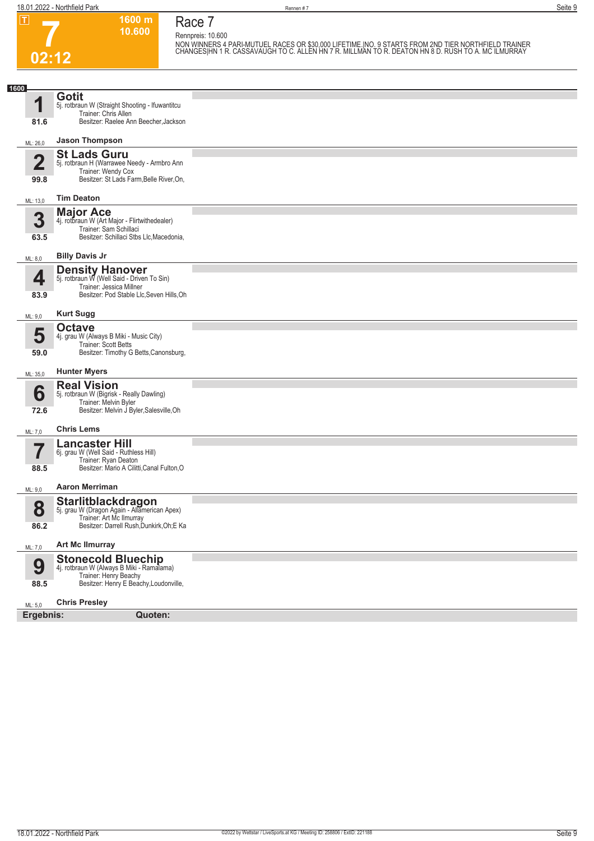**02:12**

**Race 7 Rennpreis: 10.600**

**1600 m 10.600** 

**NON WINNERS 4 PARI-MUTUEL RACES OR \$30,000 LIFETIME.|NO. 9 STARTS FROM 2ND TIER NORTHFIELD TRAINER CHANGES|HN 1 R. CASSAVAUGH TO C. ALLEN HN 7 R. MILLMAN TO R. DEATON HN 8 D. RUSH TO A. MC ILMURRAY** 

| 1600                   |                                                                                                                                      |  |
|------------------------|--------------------------------------------------------------------------------------------------------------------------------------|--|
| 1                      | <b>Gotit</b><br>5j. rotbraun W (Straight Shooting - Ifuwantitcu                                                                      |  |
| 81.6                   | Trainer: Chris Allen<br>Besitzer: Raelee Ann Beecher, Jackson                                                                        |  |
| ML: 26,0               | <b>Jason Thompson</b>                                                                                                                |  |
| $\overline{2}$<br>99.8 | <b>St Lads Guru</b><br>5j. rotbraun H (Warrawee Needy - Armbro Ann<br>Trainer: Wendy Cox<br>Besitzer: St Lads Farm, Belle River, On, |  |
|                        | <b>Tim Deaton</b>                                                                                                                    |  |
| ML: 13,0               | <b>Major Ace</b>                                                                                                                     |  |
| 3<br>63.5              | 4j. rotbraun W (Art Major - Flirtwithedealer)<br>Trainer: Sam Schillaci<br>Besitzer: Schillaci Stbs Llc, Macedonia,                  |  |
| ML: 8,0                | <b>Billy Davis Jr</b>                                                                                                                |  |
| 4                      | <b>Density Hanover</b><br>5j. rotbraun W (Well Said - Driven To Sin)<br>Trainer: Jessica Millner                                     |  |
| 83.9                   | Besitzer: Pod Stable Llc, Seven Hills, Oh                                                                                            |  |
| ML: 9,0                | <b>Kurt Sugg</b>                                                                                                                     |  |
| 5<br>59.0              | <b>Octave</b><br>4j. grau W (Always B Miki - Music City)<br>Trainer: Scott Betts<br>Besitzer: Timothy G Betts, Canonsburg,           |  |
|                        | <b>Hunter Myers</b>                                                                                                                  |  |
| ML: 35,0               |                                                                                                                                      |  |
| 6<br>72.6              | <b>Real Vision</b><br>5j. rotbraun W (Bigrisk - Really Dawling)<br>Trainer: Melvin Byler<br>Besitzer: Melvin J Byler, Salesville, Oh |  |
| ML: 7,0                | <b>Chris Lems</b>                                                                                                                    |  |
|                        | <b>Lancaster Hill</b><br>6j. grau W (Well Said - Ruthless Hill)                                                                      |  |
| 88.5                   | Trainer: Ryan Deaton<br>Besitzer: Mario A Cilitti, Canal Fulton, O                                                                   |  |
| ML: 9,0                | <b>Aaron Merriman</b>                                                                                                                |  |
| 8                      | Starlitblackdragon<br>5j. grau W (Dragon Again - Allamerican Apex)<br>Trainer: Art Mc Ilmurray                                       |  |
| 86.2                   | Besitzer: Darrell Rush, Dunkirk, Oh; E Ka                                                                                            |  |
| ML: 7,0                | <b>Art Mc Ilmurray</b>                                                                                                               |  |
| 9<br>88.5              | Stonecold Bluechip<br>4j. rotbraun W (Always B Miki - Ramalama)<br>Trainer: Henry Beachy<br>Besitzer: Henry E Beachy, Loudonville,   |  |
| ML: 5,0                | <b>Chris Presley</b>                                                                                                                 |  |
| Ergebnis:              | Quoten:                                                                                                                              |  |
|                        |                                                                                                                                      |  |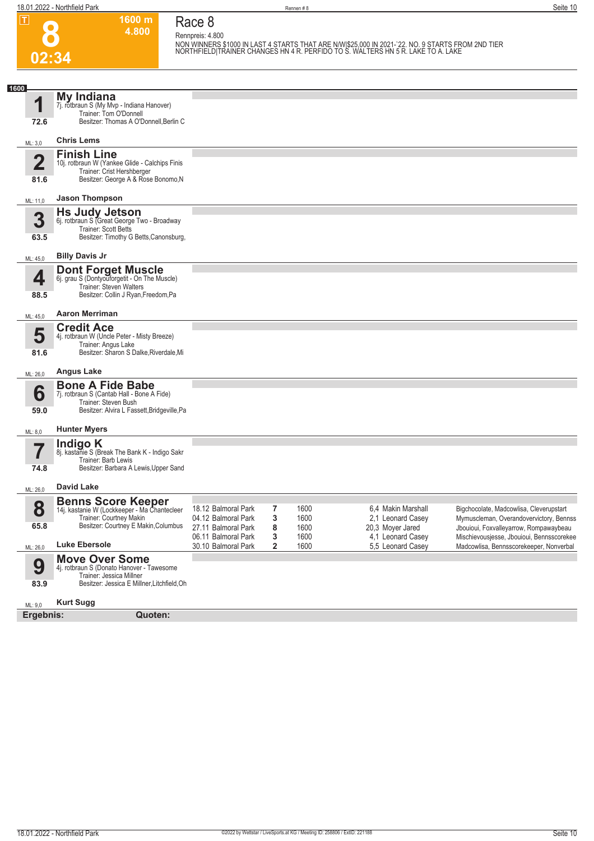**02:34**

**Race 8 Rennpreis: 4.800**

**1600 m 4.800** 

**NON WINNERS \$1000 IN LAST 4 STARTS THAT ARE N/W|\$25,000 IN 2021-`22. NO. 9 STARTS FROM 2ND TIER NORTHFIELD|TRAINER CHANGES HN 4 R. PERFIDO TO S. WALTERS HN 5 R. LAKE TO A. LAKE** 

| 1600                    |                                                                                                                             |                                            |        |              |                  |                                        |                                                                                      |
|-------------------------|-----------------------------------------------------------------------------------------------------------------------------|--------------------------------------------|--------|--------------|------------------|----------------------------------------|--------------------------------------------------------------------------------------|
| 4<br>72.6               | My Indiana<br>7j. rotbraun S (My Mvp - Indiana Hanover)<br>Trainer: Tom O'Donnell<br>Besitzer: Thomas A O'Donnell, Berlin C |                                            |        |              |                  |                                        |                                                                                      |
|                         | <b>Chris Lems</b>                                                                                                           |                                            |        |              |                  |                                        |                                                                                      |
| ML: 3,0                 |                                                                                                                             |                                            |        |              |                  |                                        |                                                                                      |
| $\overline{\mathbf{2}}$ | <b>Finish Line</b><br>10j. rotbraun W (Yankee Glide - Calchips Finis<br>Trainer: Crist Hershberger                          |                                            |        |              |                  |                                        |                                                                                      |
| 81.6                    | Besitzer: George A & Rose Bonomo, N                                                                                         |                                            |        |              |                  |                                        |                                                                                      |
| ML: 11,0                | <b>Jason Thompson</b>                                                                                                       |                                            |        |              |                  |                                        |                                                                                      |
| 3                       | <b>Hs Judy Jetson</b><br>6j. rotbraun S (Great George Two - Broadway                                                        |                                            |        |              |                  |                                        |                                                                                      |
| 63.5                    | Trainer: Scott Betts<br>Besitzer: Timothy G Betts, Canonsburg,                                                              |                                            |        |              |                  |                                        |                                                                                      |
| ML: 45,0                | <b>Billy Davis Jr</b>                                                                                                       |                                            |        |              |                  |                                        |                                                                                      |
| 4                       | <b>Dont Forget Muscle</b><br>6j. grau S (Dontyouforgetit - On The Muscle)<br>Trainer: Steven Walters                        |                                            |        |              |                  |                                        |                                                                                      |
| 88.5                    | Besitzer: Collin J Ryan, Freedom, Pa                                                                                        |                                            |        |              |                  |                                        |                                                                                      |
| ML: 45,0                | <b>Aaron Merriman</b>                                                                                                       |                                            |        |              |                  |                                        |                                                                                      |
| 5                       | <b>Credit Ace</b><br>4j. rotbraun W (Uncle Peter - Misty Breeze)<br>Trainer: Angus Lake                                     |                                            |        |              |                  |                                        |                                                                                      |
| 81.6                    | Besitzer: Sharon S Dalke, Riverdale, Mi                                                                                     |                                            |        |              |                  |                                        |                                                                                      |
| ML: 26,0                | <b>Angus Lake</b>                                                                                                           |                                            |        |              |                  |                                        |                                                                                      |
| 6                       | <b>Bone A Fide Babe</b><br>7j. rotbraun S (Cantab Hall - Bone A Fide)<br>Trainer: Steven Bush                               |                                            |        |              |                  |                                        |                                                                                      |
| 59.0                    | Besitzer: Alvira L Fassett, Bridgeville, Pa                                                                                 |                                            |        |              |                  |                                        |                                                                                      |
| ML: 8,0                 | <b>Hunter Myers</b>                                                                                                         |                                            |        |              |                  |                                        |                                                                                      |
| 57                      | Indigo K<br>8j. kastanie S (Break The Bank K - Indigo Sakr<br>Trainer: Barb Lewis                                           |                                            |        |              |                  |                                        |                                                                                      |
| 74.8                    | Besitzer: Barbara A Lewis, Upper Sand                                                                                       |                                            |        |              |                  |                                        |                                                                                      |
| ML: 26,0                | <b>David Lake</b>                                                                                                           |                                            |        |              |                  |                                        |                                                                                      |
| 8                       | <b>Benns Score Keeper</b><br>14j. kastanie W (Lockkeeper - Ma Chantecleer                                                   | 18.12 Balmoral Park                        | 7      | 1600         |                  | 6,4 Makin Marshall                     | Bigchocolate, Madcowlisa, Cleverupstart                                              |
| 65.8                    | Trainer: Courtney Makin<br>Besitzer: Courtney E Makin, Columbus                                                             | 04.12 Balmoral Park<br>27.11 Balmoral Park | 3<br>8 | 1600<br>1600 | 20,3 Moyer Jared | 2,1 Leonard Casey                      | Mymuscleman, Overandovervictory, Bennss<br>Jbouioui, Foxvalleyarrow, Rompawaybeau    |
| ML: 26,0                | <b>Luke Ebersole</b>                                                                                                        | 06.11 Balmoral Park<br>30.10 Balmoral Park | 3<br>2 | 1600<br>1600 |                  | 4,1 Leonard Casey<br>5,5 Leonard Casey | Mischievousjesse, Jbouioui, Bennsscorekee<br>Madcowlisa, Bennsscorekeeper, Nonverbal |
| 9                       | <b>Move Over Some</b><br>4j. rotbraun S (Donato Hanover - Tawesome                                                          |                                            |        |              |                  |                                        |                                                                                      |
| 83.9                    | Trainer: Jessica Millner<br>Besitzer: Jessica E Millner, Litchfield, Oh                                                     |                                            |        |              |                  |                                        |                                                                                      |
| ML: 9,0                 | <b>Kurt Sugg</b>                                                                                                            |                                            |        |              |                  |                                        |                                                                                      |
| Ergebnis:               | Quoten:                                                                                                                     |                                            |        |              |                  |                                        |                                                                                      |
|                         |                                                                                                                             |                                            |        |              |                  |                                        |                                                                                      |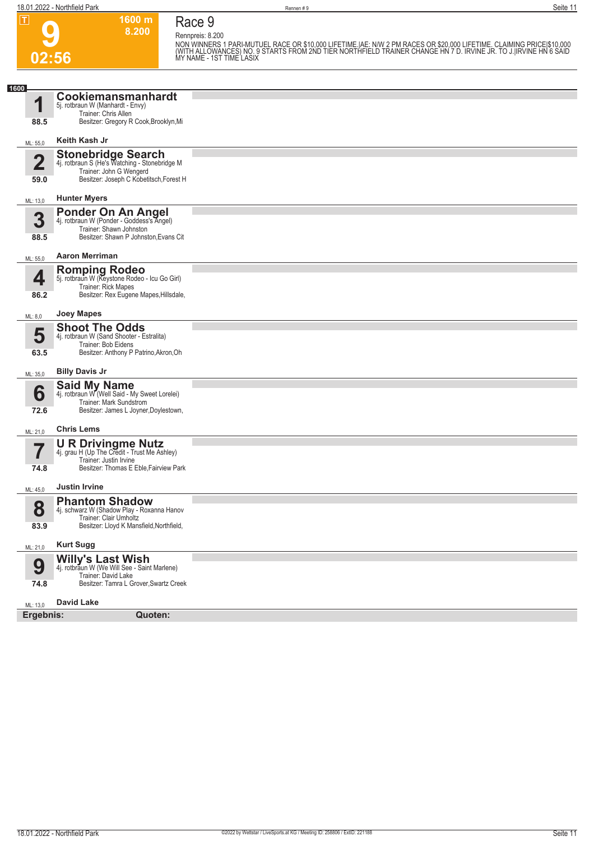**1600 m**

**Race 9**

| ய                       | ווו טטטו<br>8.200                                                                                                                              | Race 9<br>Rennpreis: 8.200                                                                                                                                                                                                           |
|-------------------------|------------------------------------------------------------------------------------------------------------------------------------------------|--------------------------------------------------------------------------------------------------------------------------------------------------------------------------------------------------------------------------------------|
|                         |                                                                                                                                                | NON WINNERS 1 PARI-MUTUEL RACE OR \$10,000 LIFETIME.IAE: N/W 2 PM RACES OR \$20,000 LIFETIME. CLAIMING PRICEI\$10,000<br>(WITH ALLOWANCES) NO. 9 STARTS FROM 2ND TIER NORTHFIELD TRAINER CHANGE HN 7 D. IRVINE JR. TO J. IRVINE HN 6 |
| 02:56                   |                                                                                                                                                |                                                                                                                                                                                                                                      |
| 1600                    |                                                                                                                                                |                                                                                                                                                                                                                                      |
| $\blacksquare$<br>88.5  | Cookiemansmanhardt<br>5j. rotbraun W (Manhardt - Envy)<br>Trainer: Chris Allen<br>Besitzer: Gregory R Cook, Brooklyn, Mi                       |                                                                                                                                                                                                                                      |
| ML: 55,0                | Keith Kash Jr                                                                                                                                  |                                                                                                                                                                                                                                      |
| $\overline{\mathbf{2}}$ | Stonebridge Search<br>4j. rotbraun S (He's Watching - Stonebridge M                                                                            |                                                                                                                                                                                                                                      |
| 59.0                    | Trainer: John G Wengerd<br>Besitzer: Joseph C Kobetitsch, Forest H                                                                             |                                                                                                                                                                                                                                      |
| ML: 13,0                | <b>Hunter Myers</b>                                                                                                                            |                                                                                                                                                                                                                                      |
| 3<br>88.5               | <b>Ponder On An Angel</b><br>4j. rotbraun W (Ponder - Goddess's Angel)<br>Trainer: Shawn Johnston<br>Besitzer: Shawn P Johnston, Evans Cit     |                                                                                                                                                                                                                                      |
| ML: 55,0                | <b>Aaron Merriman</b>                                                                                                                          |                                                                                                                                                                                                                                      |
| 4<br>86.2               | Romping Rodeo<br>5j. rotbraun W (Keystone Rodeo - Icu Go Girl)<br>Trainer: Rick Mapes<br>Besitzer: Rex Eugene Mapes, Hillsdale,                |                                                                                                                                                                                                                                      |
|                         | <b>Joey Mapes</b>                                                                                                                              |                                                                                                                                                                                                                                      |
| ML: 8,0                 | <b>Shoot The Odds</b>                                                                                                                          |                                                                                                                                                                                                                                      |
| 5<br>63.5               | 4j. rotbraun W (Sand Shooter - Estralita)<br>Trainer: Bob Eidens<br>Besitzer: Anthony P Patrino, Akron, Oh                                     |                                                                                                                                                                                                                                      |
| ML: 35,0                | <b>Billy Davis Jr</b>                                                                                                                          |                                                                                                                                                                                                                                      |
| 6<br>72.6               | <b>Said My Name</b><br>4j. rotbraun W (Well Said - My Sweet Lorelei)<br>Trainer: Mark Sundstrom<br>Besitzer: James L Joyner, Doylestown,       |                                                                                                                                                                                                                                      |
| ML: 21,0                | <b>Chris Lems</b>                                                                                                                              |                                                                                                                                                                                                                                      |
| 74.8                    | $U R Drivingme Nutz 4j. \text{ grav } H (Up The Credit - Trust Me Ashley)$<br>Trainer: Justin Irvine<br>Besitzer: Thomas E Eble, Fairview Park |                                                                                                                                                                                                                                      |
| ML: 45,0                | <b>Justin Irvine</b>                                                                                                                           |                                                                                                                                                                                                                                      |
| 8<br>83.9               | <b>Phantom Shadow</b><br>4j. schwarz W (Shadow Play - Roxanna Hanov<br>Trainer: Clair Umholtz<br>Besitzer: Lloyd K Mansfield, Northfield,      |                                                                                                                                                                                                                                      |
|                         | <b>Kurt Sugg</b>                                                                                                                               |                                                                                                                                                                                                                                      |
| ML: 21,0<br>9<br>74.8   | <b>Willy's Last Wish</b><br>4j. rotbraun W (We Will See - Saint Marlene)<br>Trainer: David Lake<br>Besitzer: Tamra L Grover, Swartz Creek      |                                                                                                                                                                                                                                      |
|                         | <b>David Lake</b>                                                                                                                              |                                                                                                                                                                                                                                      |
| ML: 13,0<br>Ergebnis:   | Quoten:                                                                                                                                        |                                                                                                                                                                                                                                      |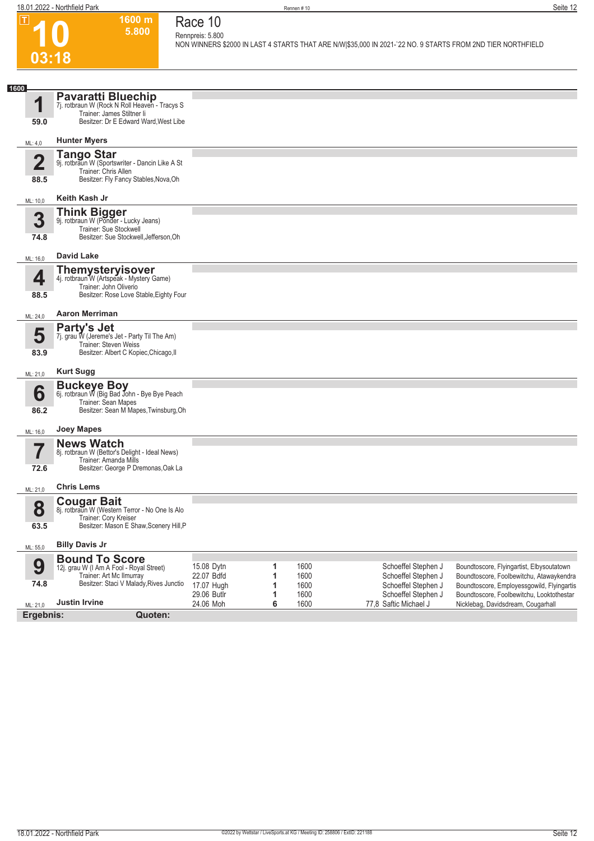

#### **1600 m 5.800 Race 10 Rennpreis: 5.800**

**NON WINNERS \$2000 IN LAST 4 STARTS THAT ARE N/W|\$35,000 IN 2021-`22 NO. 9 STARTS FROM 2ND TIER NORTHFIELD** 

| 1600                    |                                                                                                                                                   |                                                       |                  |                              |                                                                                          |                                                                                                                                                                                  |
|-------------------------|---------------------------------------------------------------------------------------------------------------------------------------------------|-------------------------------------------------------|------------------|------------------------------|------------------------------------------------------------------------------------------|----------------------------------------------------------------------------------------------------------------------------------------------------------------------------------|
| 1<br>59.0               | <b>Pavaratti Bluechip</b><br>7j. rotbraun W (Rock N Roll Heaven - Tracys S<br>Trainer: James Stiltner li<br>Besitzer: Dr E Edward Ward, West Libe |                                                       |                  |                              |                                                                                          |                                                                                                                                                                                  |
| ML: 4,0                 | <b>Hunter Myers</b>                                                                                                                               |                                                       |                  |                              |                                                                                          |                                                                                                                                                                                  |
| $\overline{\mathbf{2}}$ | <b>Tango Star</b><br>9j. rotbraun W (Sportswriter - Dancin Like A St<br>Trainer: Chris Allen                                                      |                                                       |                  |                              |                                                                                          |                                                                                                                                                                                  |
| 88.5                    | Besitzer: Fly Fancy Stables, Nova, Oh                                                                                                             |                                                       |                  |                              |                                                                                          |                                                                                                                                                                                  |
| ML: 10,0                | Keith Kash Jr                                                                                                                                     |                                                       |                  |                              |                                                                                          |                                                                                                                                                                                  |
| 3                       | <b>Think Bigger</b><br>9j. rotbraun W (Ponder - Lucky Jeans)<br>Trainer: Sue Stockwell                                                            |                                                       |                  |                              |                                                                                          |                                                                                                                                                                                  |
| 74.8                    | Besitzer: Sue Stockwell, Jefferson, Oh                                                                                                            |                                                       |                  |                              |                                                                                          |                                                                                                                                                                                  |
| ML: 16,0                | David Lake                                                                                                                                        |                                                       |                  |                              |                                                                                          |                                                                                                                                                                                  |
| 4                       | <b>Themysteryisover</b><br>4j. rotbraun W (Artspeak - Mystery Game)<br>Trainer: John Oliverio                                                     |                                                       |                  |                              |                                                                                          |                                                                                                                                                                                  |
| 88.5                    | Besitzer: Rose Love Stable, Eighty Four                                                                                                           |                                                       |                  |                              |                                                                                          |                                                                                                                                                                                  |
| ML: 24,0                | <b>Aaron Merriman</b>                                                                                                                             |                                                       |                  |                              |                                                                                          |                                                                                                                                                                                  |
| 5<br>83.9               | Party's Jet<br>7j. grau W (Jereme's Jet - Party Til The Am)<br>Trainer: Steven Weiss<br>Besitzer: Albert C Kopiec, Chicago, II                    |                                                       |                  |                              |                                                                                          |                                                                                                                                                                                  |
| ML: 21,0                | <b>Kurt Sugg</b>                                                                                                                                  |                                                       |                  |                              |                                                                                          |                                                                                                                                                                                  |
| 6<br>86.2               | <b>Buckeye Boy</b><br>6j. rotbraun W (Big Bad John - Bye Bye Peach<br>Trainer: Sean Mapes<br>Besitzer: Sean M Mapes, Twinsburg, Oh                |                                                       |                  |                              |                                                                                          |                                                                                                                                                                                  |
| ML: 16,0                | Joey Mapes                                                                                                                                        |                                                       |                  |                              |                                                                                          |                                                                                                                                                                                  |
| 72.6                    | <b>News Watch</b><br>8j. rotbraun W (Bettor's Delight - Ideal News)<br>Trainer: Amanda Mills<br>Besitzer: George P Dremonas, Oak La               |                                                       |                  |                              |                                                                                          |                                                                                                                                                                                  |
| ML: 21,0                | <b>Chris Lems</b>                                                                                                                                 |                                                       |                  |                              |                                                                                          |                                                                                                                                                                                  |
| 8<br>63.5               | <b>Cougar Bait</b><br>8j. rotbraun W (Western Terror - No One Is Alo<br>Trainer: Cory Kreiser<br>Besitzer: Mason E Shaw, Scenery Hill, P          |                                                       |                  |                              |                                                                                          |                                                                                                                                                                                  |
| ML: 55,0                | <b>Billy Davis Jr</b>                                                                                                                             |                                                       |                  |                              |                                                                                          |                                                                                                                                                                                  |
| 9<br>74.8               | <b>Bound To Score</b><br>12j. grau W (I Am A Fool - Royal Street)<br>Trainer: Art Mc Ilmurray<br>Besitzer: Staci V Malady, Rives Junctio          | 15.08 Dytn<br>22.07 Bdfd<br>17.07 Hugh<br>29.06 Butlr | 1<br>1<br>1<br>1 | 1600<br>1600<br>1600<br>1600 | Schoeffel Stephen J<br>Schoeffel Stephen J<br>Schoeffel Stephen J<br>Schoeffel Stephen J | Boundtoscore, Flyingartist, Elbysoutatown<br>Boundtoscore, Foolbewitchu, Atawaykendra<br>Boundtoscore, Employessgowild, Flyingartis<br>Boundtoscore, Foolbewitchu, Looktothestar |
| ML: 21,0                | <b>Justin Irvine</b>                                                                                                                              | 24.06 Moh                                             | 6                | 1600                         | 77,8 Saftic Michael J                                                                    | Nicklebag, Davidsdream, Cougarhall                                                                                                                                               |
| Ergebnis:               | Quoten:                                                                                                                                           |                                                       |                  |                              |                                                                                          |                                                                                                                                                                                  |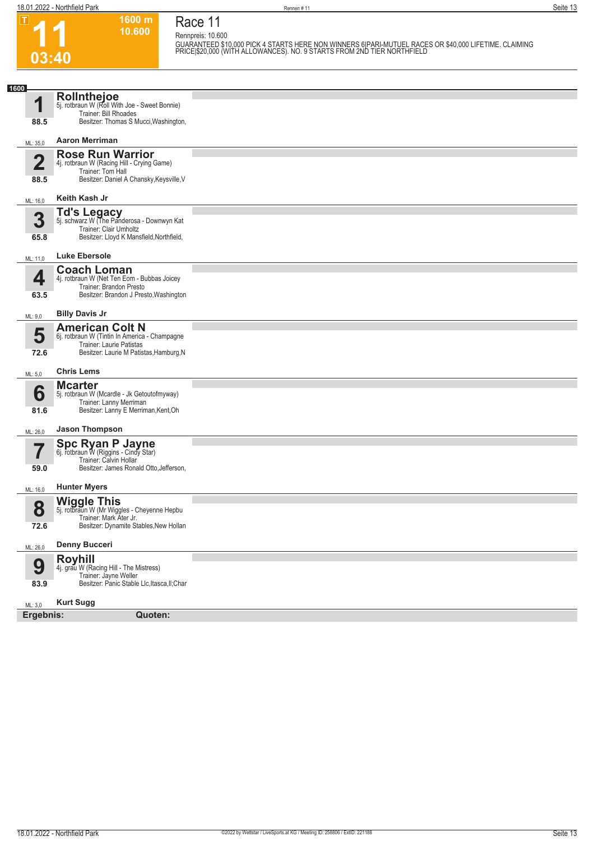$|\mathsf{T}|$ 

**03:40**

**Race 11 Rennpreis: 10.600**

**1600 m 10.600** 

**GUARANTEED \$10,000 PICK 4 STARTS HERE NON WINNERS 6|PARI-MUTUEL RACES OR \$40,000 LIFETIME. CLAIMING PRICE|\$20,000 (WITH ALLOWANCES). NO. 9 STARTS FROM 2ND TIER NORTHFIELD** 

| 1600                            |                                                                                                                                                |  |
|---------------------------------|------------------------------------------------------------------------------------------------------------------------------------------------|--|
| И<br>88.5                       | Rollnthejoe<br>5j. rotbraun W (Roll With Joe - Sweet Bonnie)<br>Trainer: Bill Rhoades<br>Besitzer: Thomas S Mucci, Washington,                 |  |
|                                 | <b>Aaron Merriman</b>                                                                                                                          |  |
| ML: 35,0                        |                                                                                                                                                |  |
| $\overline{\mathbf{2}}$<br>88.5 | <b>Rose Run Warrior</b><br>4j. rotbraun W (Racing Hill - Crying Game)<br>Trainer: Tom Hall<br>Besitzer: Daniel A Chansky, Keysville, V         |  |
| ML: 16,0                        | Keith Kash Jr                                                                                                                                  |  |
| 3<br>65.8                       | Td's Legacy<br>5j. schwarz W (The Panderosa - Downwyn Kat<br>Trainer: Clair Umholtz<br>Besitzer: Lloyd K Mansfield, Northfield,                |  |
| ML: 11,0                        | <b>Luke Ebersole</b>                                                                                                                           |  |
| 4<br>63.5                       | <b>Coach Loman</b><br>4j. rotbraun W (Net Ten Eom - Bubbas Joicey<br>Trainer: Brandon Presto<br>Besitzer: Brandon J Presto, Washington         |  |
| ML: 9,0                         | <b>Billy Davis Jr</b>                                                                                                                          |  |
| 5<br>72.6                       | <b>American Colt N</b><br>6j. rotbraun W (Tintin In America - Champagne<br>Trainer: Laurie Patistas<br>Besitzer: Laurie M Patistas, Hamburg, N |  |
| ML: 5,0                         | <b>Chris Lems</b>                                                                                                                              |  |
| 6<br>81.6                       | <b>Mcarter</b><br>5j. rotbraun W (Mcardle - Jk Getoutofmyway)<br>Trainer: Lanny Merriman<br>Besitzer: Lanny E Merriman, Kent, Oh               |  |
| ML: 26,0                        | <b>Jason Thompson</b>                                                                                                                          |  |
| 59.0                            | Spc Ryan P Jayne<br>6j. rotbraun W (Riggins - Cindy Star)<br>Trainer: Calvin Hollar<br>Besitzer: James Ronald Otto, Jefferson,                 |  |
| ML: 16,0                        | <b>Hunter Myers</b>                                                                                                                            |  |
| 8<br>72.6                       | <b>Wiggle This</b><br>5j. rotbraun W (Mr Wiggles - Cheyenne Hepbu<br>Trainer: Mark Ater Jr.<br>Besitzer: Dynamite Stables, New Hollan          |  |
| ML: 26,0                        | <b>Denny Bucceri</b>                                                                                                                           |  |
| 9<br>83.9                       | <b>Royhill</b><br>4j. grau W (Racing Hill - The Mistress)<br>Trainer: Jayne Weller<br>Besitzer: Panic Stable Llc, Itasca, II; Char             |  |
| ML: 3,0                         | <b>Kurt Sugg</b>                                                                                                                               |  |
| Ergebnis:                       | <b>Quoten:</b>                                                                                                                                 |  |
|                                 |                                                                                                                                                |  |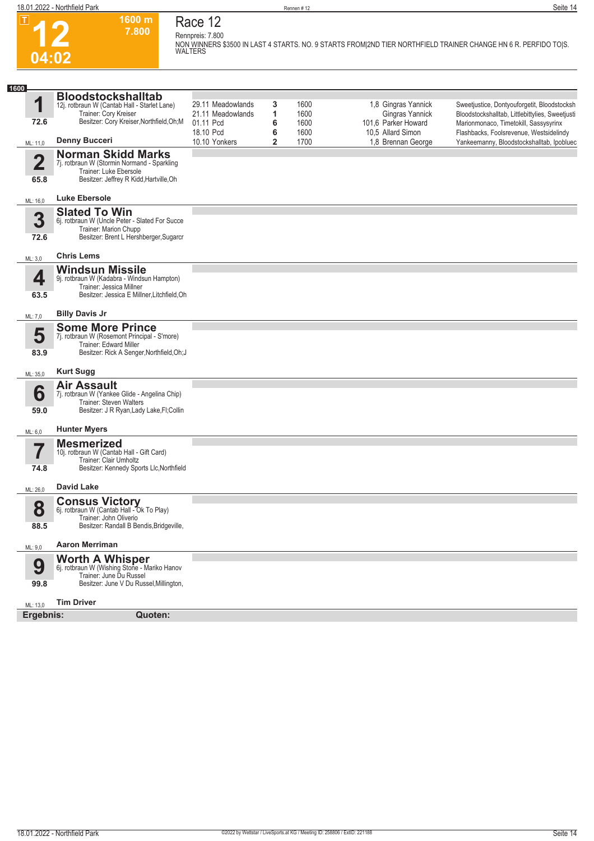$\boxed{1}$ 

**04:02**



**Race 12**

**1600 m**

**7.800 Rennpreis: 7.800 NON WINNERS \$3500 IN LAST 4 STARTS. NO. 9 STARTS FROM|2ND TIER NORTHFIELD TRAINER CHANGE HN 6 R. PERFIDO TO|S. WALTERS** 

| 1600                    |                                                                                                                                                 |                                                                  |                  |                              |                                                                                    |                                                                                                                                                                                    |
|-------------------------|-------------------------------------------------------------------------------------------------------------------------------------------------|------------------------------------------------------------------|------------------|------------------------------|------------------------------------------------------------------------------------|------------------------------------------------------------------------------------------------------------------------------------------------------------------------------------|
| 1<br>72.6               | <b>Bloodstockshalltab</b><br>12j. rotbraun W (Cantab Hall - Starlet Lane)<br>Trainer: Cory Kreiser<br>Besitzer: Cory Kreiser, Northfield, Oh; M | 29.11 Meadowlands<br>21.11 Meadowlands<br>01.11 Pcd<br>18.10 Pcd | 3<br>1<br>6<br>6 | 1600<br>1600<br>1600<br>1600 | 1,8 Gingras Yannick<br>Gingras Yannick<br>101,6 Parker Howard<br>10.5 Allard Simon | Sweetjustice, Dontyouforgetit, Bloodstocksh<br>Bloodstockshalltab, Littlebittylies, Sweetjusti<br>Marionmonaco, Timetokill, Sassysyrinx<br>Flashbacks, Foolsrevenue, Westsidelindy |
| ML: 11,0                | <b>Denny Bucceri</b>                                                                                                                            | 10.10 Yonkers                                                    | $\overline{2}$   | 1700                         | 1.8 Brennan George                                                                 | Yankeemanny, Bloodstockshalltab, Ipobluec                                                                                                                                          |
| $\overline{\mathbf{2}}$ | <b>Norman Skidd Marks</b><br>7j. rotbraun W (Stormin Normand - Sparkling<br>Trainer: Luke Ebersole                                              |                                                                  |                  |                              |                                                                                    |                                                                                                                                                                                    |
| 65.8                    | Besitzer: Jeffrey R Kidd, Hartville, Oh                                                                                                         |                                                                  |                  |                              |                                                                                    |                                                                                                                                                                                    |
| ML: 16,0                | <b>Luke Ebersole</b>                                                                                                                            |                                                                  |                  |                              |                                                                                    |                                                                                                                                                                                    |
| 3<br>72.6               | <b>Slated To Win</b><br>6j. rotbraun W (Uncle Peter - Slated For Succe<br>Trainer: Marion Chupp<br>Besitzer: Brent L Hershberger, Sugarcr       |                                                                  |                  |                              |                                                                                    |                                                                                                                                                                                    |
| ML: 3,0                 | <b>Chris Lems</b>                                                                                                                               |                                                                  |                  |                              |                                                                                    |                                                                                                                                                                                    |
| 4                       | <b>Windsun Missile</b><br>9j. rotbraun W (Kadabra - Windsun Hampton)<br>Trainer: Jessica Millner                                                |                                                                  |                  |                              |                                                                                    |                                                                                                                                                                                    |
| 63.5                    | Besitzer: Jessica E Millner, Litchfield, Oh                                                                                                     |                                                                  |                  |                              |                                                                                    |                                                                                                                                                                                    |
| ML: 7,0                 | <b>Billy Davis Jr</b>                                                                                                                           |                                                                  |                  |                              |                                                                                    |                                                                                                                                                                                    |
| 5                       | <b>Some More Prince</b><br>7j. rotbraun W (Rosemont Principal - S'more)<br>Trainer: Edward Miller                                               |                                                                  |                  |                              |                                                                                    |                                                                                                                                                                                    |
| 83.9                    | Besitzer: Rick A Senger, Northfield, Oh; J                                                                                                      |                                                                  |                  |                              |                                                                                    |                                                                                                                                                                                    |
| ML: 35,0                | <b>Kurt Sugg</b>                                                                                                                                |                                                                  |                  |                              |                                                                                    |                                                                                                                                                                                    |
| 6<br>59.0               | <b>Air Assault</b><br>7j. rotbraun W (Yankee Glide - Angelina Chip)<br>Trainer: Steven Walters<br>Besitzer: J R Ryan, Lady Lake, FI; Collin     |                                                                  |                  |                              |                                                                                    |                                                                                                                                                                                    |
| ML: 6,0                 | <b>Hunter Myers</b>                                                                                                                             |                                                                  |                  |                              |                                                                                    |                                                                                                                                                                                    |
| 7<br>74.8               | <b>Mesmerized</b><br>10j. rotbraun W (Cantab Hall - Gift Card)<br>Trainer: Clair Umholtz<br>Besitzer: Kennedy Sports Llc, Northfield            |                                                                  |                  |                              |                                                                                    |                                                                                                                                                                                    |
| ML: 26,0                | <b>David Lake</b>                                                                                                                               |                                                                  |                  |                              |                                                                                    |                                                                                                                                                                                    |
| 8<br>88.5               | <b>Consus Victory</b><br>6j. rotbraun W (Cantab Hall - Ok To Play)<br>Trainer: John Oliverio<br>Besitzer: Randall B Bendis, Bridgeville,        |                                                                  |                  |                              |                                                                                    |                                                                                                                                                                                    |
| ML: 9,0                 | <b>Aaron Merriman</b>                                                                                                                           |                                                                  |                  |                              |                                                                                    |                                                                                                                                                                                    |
| 9<br>99.8               | <b>Worth A Whisper</b> 6j. rotbraun W (Wishing Stone - Mariko Hanov<br>Trainer: June Du Russel<br>Besitzer: June V Du Russel, Millington,       |                                                                  |                  |                              |                                                                                    |                                                                                                                                                                                    |
| ML: 13,0                | <b>Tim Driver</b>                                                                                                                               |                                                                  |                  |                              |                                                                                    |                                                                                                                                                                                    |
| Ergebnis:               | Quoten:                                                                                                                                         |                                                                  |                  |                              |                                                                                    |                                                                                                                                                                                    |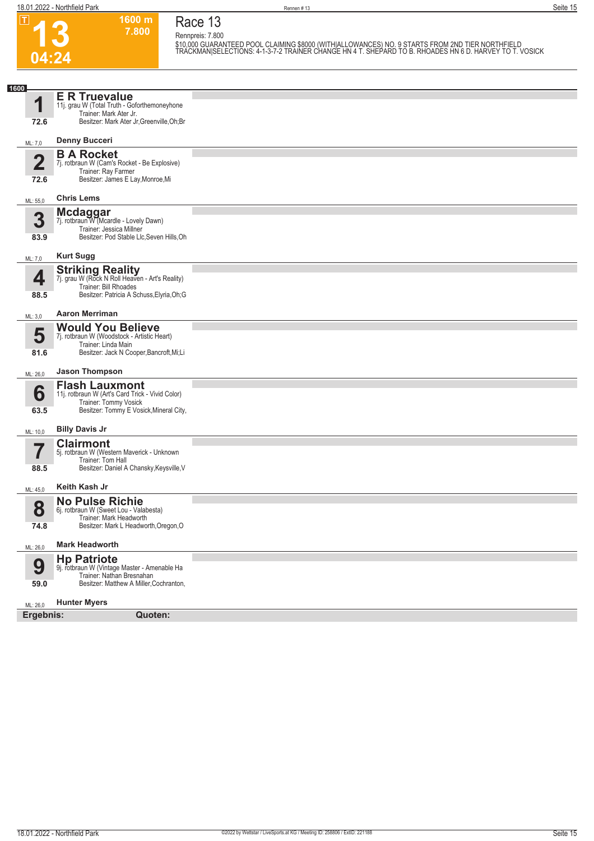| $ \mathbf{T} $                     | 1600 m<br>7.800                                                                                                                                   | Race 13                                                                                                                                                                                                                         |
|------------------------------------|---------------------------------------------------------------------------------------------------------------------------------------------------|---------------------------------------------------------------------------------------------------------------------------------------------------------------------------------------------------------------------------------|
|                                    |                                                                                                                                                   | Rennpreis: 7.800<br>\$10,000 GUARANTEED POOL CLAIMING \$8000 (WITHIALLOWANCES) NO. 9 STARTS FROM 2ND TIER NORTHFIELD<br>TRACKMAN SELECTIONS: 4-1-3-7-2 TRAINER CHANGE HN 4 T. SHEPARD TO B. RHOADES HN 6 D. HARVEY TO T. VOSICK |
| 04:24                              |                                                                                                                                                   |                                                                                                                                                                                                                                 |
|                                    |                                                                                                                                                   |                                                                                                                                                                                                                                 |
| 1600<br>1<br>72.6                  | <b>E R Truevalue</b><br>11j. grau W (Total Truth - Goforthemoneyhone<br>Trainer: Mark Ater Jr.<br>Besitzer: Mark Ater Jr, Greenville, Oh; Br      |                                                                                                                                                                                                                                 |
|                                    | <b>Denny Bucceri</b>                                                                                                                              |                                                                                                                                                                                                                                 |
| ML: 7,0<br>$\overline{\mathbf{2}}$ | <b>B A Rocket</b><br>7j. rotbraun W (Cam's Rocket - Be Explosive)<br>Trainer: Ray Farmer                                                          |                                                                                                                                                                                                                                 |
| 72.6                               | Besitzer: James E Lay, Monroe, Mi<br><b>Chris Lems</b>                                                                                            |                                                                                                                                                                                                                                 |
| ML: 55,0                           |                                                                                                                                                   |                                                                                                                                                                                                                                 |
| 3<br>83.9                          | Mcdaggar<br>7j. rotbraun W (Mcardle - Lovely Dawn)<br>Trainer: Jessica Millner<br>Besitzer: Pod Stable Llc, Seven Hills, Oh                       |                                                                                                                                                                                                                                 |
| ML: 7,0                            | <b>Kurt Sugg</b>                                                                                                                                  |                                                                                                                                                                                                                                 |
| 4<br>88.5                          | <b>Striking Reality</b><br>7j. grau W (Rock N Roll Heaven - Art's Reality)<br>Trainer: Bill Rhoades<br>Besitzer: Patricia A Schuss, Elyria, Oh; G |                                                                                                                                                                                                                                 |
|                                    |                                                                                                                                                   |                                                                                                                                                                                                                                 |
| ML: 3,0                            | <b>Aaron Merriman</b><br><b>Would You Believe</b>                                                                                                 |                                                                                                                                                                                                                                 |
| 5<br>81.6                          | 7j. rotbraun W (Woodstock - Artistic Heart)<br>Trainer: Linda Main<br>Besitzer: Jack N Cooper, Bancroft, Mi; Li                                   |                                                                                                                                                                                                                                 |
| ML: 26,0                           | <b>Jason Thompson</b>                                                                                                                             |                                                                                                                                                                                                                                 |
| 6<br>63.5                          | <b>Flash Lauxmont</b><br>11j. rotbraun W (Art's Card Trick - Vivid Color)<br>Trainer: Tommy Vosick<br>Besitzer: Tommy E Vosick, Mineral City,     |                                                                                                                                                                                                                                 |
| ML: 10,0                           | <b>Billy Davis Jr</b>                                                                                                                             |                                                                                                                                                                                                                                 |
| 88.5                               | <b>Clairmont</b><br>5j. rotbraun W (Western Maverick - Unknown<br>Trainer: Tom Hall<br>Besitzer: Daniel A Chansky, Keysville, V                   |                                                                                                                                                                                                                                 |
| ML: 45,0                           | Keith Kash Jr                                                                                                                                     |                                                                                                                                                                                                                                 |
| 8<br>74.8                          | <b>No Pulse Richie</b><br>6j. rotbraun W (Sweet Lou - Valabesta)<br>Trainer: Mark Headworth<br>Besitzer: Mark L Headworth, Oregon, O              |                                                                                                                                                                                                                                 |
|                                    | <b>Mark Headworth</b>                                                                                                                             |                                                                                                                                                                                                                                 |
| ML: 26,0<br>9<br>59.0              | <b>Hp Patriote</b><br>9j. rotbraun W (Vintage Master - Amenable Ha<br>Trainer: Nathan Bresnahan<br>Besitzer: Matthew A Miller, Cochranton,        |                                                                                                                                                                                                                                 |
| ML: 26,0<br>Ergebnis:              | <b>Hunter Myers</b>                                                                                                                               |                                                                                                                                                                                                                                 |
|                                    | Quoten:                                                                                                                                           |                                                                                                                                                                                                                                 |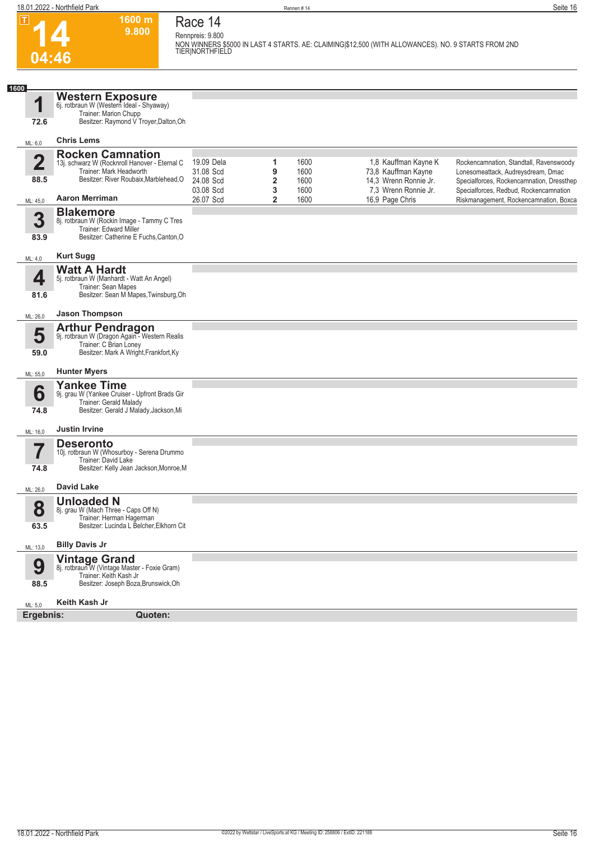



## **Race 14 Rennpreis: 9.800**

**1600 m 9.800** 

**NON WINNERS \$5000 IN LAST 4 STARTS. AE: CLAIMING|\$12,500 (WITH ALLOWANCES). NO. 9 STARTS FROM 2ND TIER|NORTHFIELD** 

| 1600 |                         |                                                                                                                                   |                         |        |              |                                               |                                                                                     |
|------|-------------------------|-----------------------------------------------------------------------------------------------------------------------------------|-------------------------|--------|--------------|-----------------------------------------------|-------------------------------------------------------------------------------------|
|      | 1                       | Western Exposure<br>6j. rotbraun W (Western Ideal - Shyaway)<br>Trainer: Marion Chupp                                             |                         |        |              |                                               |                                                                                     |
|      | 72.6                    | Besitzer: Raymond V Troyer, Dalton, Oh                                                                                            |                         |        |              |                                               |                                                                                     |
|      | ML: 6,0                 | <b>Chris Lems</b>                                                                                                                 |                         |        |              |                                               |                                                                                     |
|      | $\overline{\mathbf{2}}$ | <b>Rocken Camnation</b><br>13j. schwarz W (Rocknroll Hanover - Eternal C<br>Trainer: Mark Headworth                               | 19.09 Dela<br>31.08 Scd | 1<br>9 | 1600<br>1600 | 1,8 Kauffman Kayne K<br>73,8 Kauffman Kayne   | Rockencamnation, Standtall, Ravenswoody<br>Lonesomeattack, Audreysdream, Dmac       |
|      | 88.5                    | Besitzer: River Roubaix, Marblehead, O                                                                                            | 24.08 Scd<br>03.08 Scd  | 2<br>3 | 1600<br>1600 | 14,3 Wrenn Ronnie Jr.<br>7,3 Wrenn Ronnie Jr. | Specialforces, Rockencamnation, Dressthep<br>Specialforces, Redbud, Rockencamnation |
|      | ML: 45,0                | <b>Aaron Merriman</b>                                                                                                             | 26.07 Scd               | 2      | 1600         | 16,9 Page Chris                               | Riskmanagement, Rockencamnation, Boxca                                              |
|      | 3                       | <b>Blakemore</b><br>8j. rotbraun W (Rockin Image - Tammy C Tres<br>Trainer: Edward Miller                                         |                         |        |              |                                               |                                                                                     |
|      | 83.9                    | Besitzer: Catherine E Fuchs, Canton, O                                                                                            |                         |        |              |                                               |                                                                                     |
|      | ML: 4,0                 | <b>Kurt Sugg</b>                                                                                                                  |                         |        |              |                                               |                                                                                     |
|      | 4                       | <b>Watt A Hardt</b><br>5j. rotbraun W (Manhardt - Watt An Angel)<br>Trainer: Sean Mapes                                           |                         |        |              |                                               |                                                                                     |
|      | 81.6                    | Besitzer: Sean M Mapes, Twinsburg, Oh                                                                                             |                         |        |              |                                               |                                                                                     |
|      | ML: 26,0                | <b>Jason Thompson</b>                                                                                                             |                         |        |              |                                               |                                                                                     |
|      | 5                       | <b>Arthur Pendragon</b><br>9j. rotbraun W (Dragon Again - Western Realis<br>Trainer: C Brian Loney                                |                         |        |              |                                               |                                                                                     |
|      | 59.0                    | Besitzer: Mark A Wright, Frankfort, Ky                                                                                            |                         |        |              |                                               |                                                                                     |
|      | ML: 55,0                | <b>Hunter Myers</b>                                                                                                               |                         |        |              |                                               |                                                                                     |
|      | 6                       | <b>Yankee Time</b><br>9j. grau W (Yankee Cruiser - Upfront Brads Gir<br>Trainer: Gerald Malady                                    |                         |        |              |                                               |                                                                                     |
|      | 74.8                    | Besitzer: Gerald J Malady, Jackson, Mi                                                                                            |                         |        |              |                                               |                                                                                     |
|      | ML: 16,0                | <b>Justin Irvine</b>                                                                                                              |                         |        |              |                                               |                                                                                     |
|      |                         | <b>Deseronto</b><br>10j. rotbraun W (Whosurboy - Serena Drummo<br>Trainer: David Lake                                             |                         |        |              |                                               |                                                                                     |
|      | 74.8                    | Besitzer: Kelly Jean Jackson, Monroe, M                                                                                           |                         |        |              |                                               |                                                                                     |
|      | ML: 26,0                | <b>David Lake</b>                                                                                                                 |                         |        |              |                                               |                                                                                     |
|      | 8<br>63.5               | <b>Unloaded N</b><br>8j. grau W (Mach Three - Caps Off N)<br>Trainer: Herman Hagerman<br>Besitzer: Lucinda L Belcher, Elkhorn Cit |                         |        |              |                                               |                                                                                     |
|      | ML: 13,0                | <b>Billy Davis Jr</b>                                                                                                             |                         |        |              |                                               |                                                                                     |
|      |                         | Vintage Grand<br>8j. rotbraun W (Vintage Master - Foxie Gram)                                                                     |                         |        |              |                                               |                                                                                     |
|      | 9<br>88.5               | Trainer: Keith Kash Jr<br>Besitzer: Joseph Boza, Brunswick, Oh                                                                    |                         |        |              |                                               |                                                                                     |
|      |                         |                                                                                                                                   |                         |        |              |                                               |                                                                                     |
|      | ML: 5,0<br>Ergebnis:    | Keith Kash Jr<br>Quoten:                                                                                                          |                         |        |              |                                               |                                                                                     |
|      |                         |                                                                                                                                   |                         |        |              |                                               |                                                                                     |